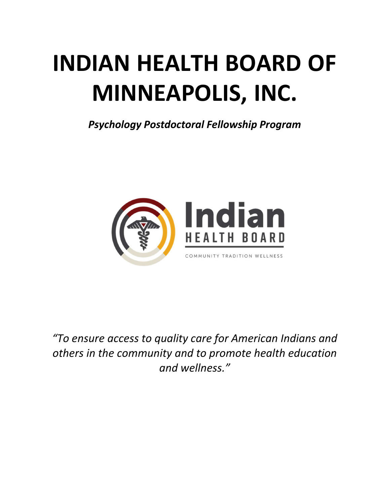# **INDIAN HEALTH BOARD OF MINNEAPOLIS, INC.**

*Psychology Postdoctoral Fellowship Program*



*"To ensure access to quality care for American Indians and others in the community and to promote health education and wellness."*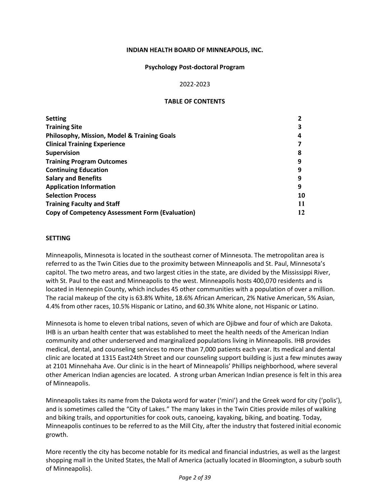#### **INDIAN HEALTH BOARD OF MINNEAPOLIS, INC.**

#### **Psychology Post-doctoral Program**

#### 2022-2023

#### **TABLE OF CONTENTS**

| 8  |
|----|
| 9  |
| 9  |
| q  |
| 9  |
| 10 |
| 11 |
| 12 |
|    |

#### <span id="page-1-0"></span>**SETTING**

Minneapolis, Minnesota is located in the southeast corner of Minnesota. The metropolitan area is referred to as the Twin Cities due to the proximity between Minneapolis and St. Paul, Minnesota's capitol. The two metro areas, and two largest cities in the state, are divided by the Mississippi River, with St. Paul to the east and Minneapolis to the west. Minneapolis hosts 400,070 residents and is located in Hennepin County, which includes 45 other communities with a population of over a million. The racial makeup of the city is 63.8% White, 18.6% African American, 2% Native American, 5% Asian, 4.4% from other races, 10.5% Hispanic or Latino, and 60.3% White alone, not Hispanic or Latino.

Minnesota is home to eleven tribal nations, seven of which are Ojibwe and four of which are Dakota. IHB is an urban health center that was established to meet the health needs of the American Indian community and other underserved and marginalized populations living in Minneapolis. IHB provides medical, dental, and counseling services to more than 7,000 patients each year. Its medical and dental clinic are located at 1315 East24th Street and our counseling support building is just a few minutes away at 2101 Minnehaha Ave. Our clinic is in the heart of Minneapolis' Phillips neighborhood, where several other American Indian agencies are located. A strong urban American Indian presence is felt in this area of Minneapolis.

Minneapolis takes its name from the Dakota word for water ('mini') and the Greek word for city ('polis'), and is sometimes called the "City of Lakes." The many lakes in the Twin Cities provide miles of walking and biking trails, and opportunities for cook outs, canoeing, kayaking, biking, and boating. Today, Minneapolis continues to be referred to as the Mill City, after the industry that fostered initial economic growth.

More recently the city has become notable for its medical and financial industries, as well as the largest shopping mall in the United States, the Mall of America (actually located in Bloomington, a suburb south of Minneapolis).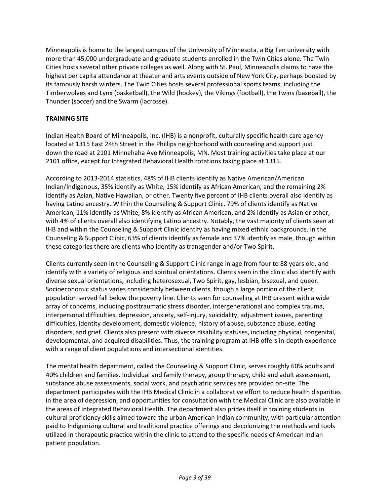Minneapolis is home to the largest campus of the University of Minnesota, a Big Ten university with more than 45,000 undergraduate and graduate students enrolled in the Twin Cities alone. The Twin Cities hosts several other private colleges as well. Along with St. Paul, Minneapolis claims to have the highest per capita attendance at theater and arts events outside of New York City, perhaps boosted by its famously harsh winters. The Twin Cities hosts several professional sports teams, including the Timberwolves and Lynx (basketball), the Wild (hockey), the Vikings (football), the Twins (baseball), the Thunder (soccer) and the Swarm (lacrosse).

## <span id="page-2-0"></span>**TRAINING SITE**

Indian Health Board of Minneapolis, Inc. (IHB) is a nonprofit, culturally specific health care agency located at 1315 East 24th Street in the Phillips neighborhood with counseling and support just down the road at 2101 Minnehaha Ave Minneapolis, MN. Most training activities take place at our 2101 office, except for Integrated Behavioral Health rotations taking place at 1315.

According to 2013-2014 statistics, 48% of IHB clients identify as Native American/American Indian/Indigenous, 35% identify as White, 15% identify as African American, and the remaining 2% identify as Asian, Native Hawaiian, or other. Twenty five percent of IHB clients overall also identify as having Latino ancestry. Within the Counseling & Support Clinic, 79% of clients identify as Native American, 11% identify as White, 8% identify as African American, and 2% identify as Asian or other, with 4% of clients overall also identifying Latino ancestry. Notably, the vast majority of clients seen at IHB and within the Counseling & Support Clinic identify as having mixed ethnic backgrounds. In the Counseling & Support Clinic, 63% of clients identify as female and 37% identify as male, though within these categories there are clients who identify as transgender and/or Two Spirit.

Clients currently seen in the Counseling & Support Clinic range in age from four to 88 years old, and identify with a variety of religious and spiritual orientations. Clients seen in the clinic also identify with diverse sexual orientations, including heterosexual, Two Spirit, gay, lesbian, bisexual, and queer. Socioeconomic status varies considerably between clients, though a large portion of the client population served fall below the poverty line. Clients seen for counseling at IHB present with a wide array of concerns, including posttraumatic stress disorder, intergenerational and complex trauma, interpersonal difficulties, depression, anxiety, self-injury, suicidality, adjustment issues, parenting difficulties, identity development, domestic violence, history of abuse, substance abuse, eating disorders, and grief. Clients also present with diverse disability statuses, including physical, congenital, developmental, and acquired disabilities. Thus, the training program at IHB offers in-depth experience with a range of client populations and intersectional identities.

The mental health department, called the Counseling & Support Clinic, serves roughly 60% adults and 40% children and families. Individual and family therapy, group therapy, child and adult assessment, substance abuse assessments, social work, and psychiatric services are provided on-site. The department participates with the IHB Medical Clinic in a collaborative effort to reduce health disparities in the area of depression, and opportunities for consultation with the Medical Clinic are also available in the areas of Integrated Behavioral Health. The department also prides itself in training students in cultural proficiency skills aimed toward the urban American Indian community, with particular attention paid to Indigenizing cultural and traditional practice offerings and decolonizing the methods and tools utilized in therapeutic practice within the clinic to attend to the specific needs of American Indian patient population.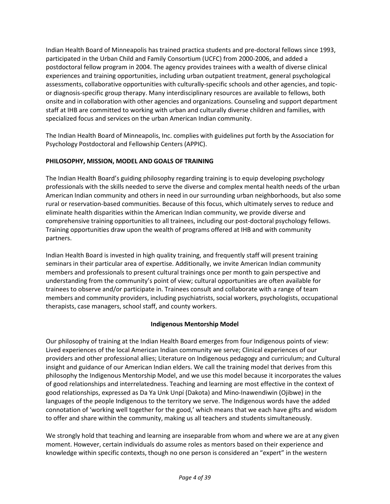Indian Health Board of Minneapolis has trained practica students and pre-doctoral fellows since 1993, participated in the Urban Child and Family Consortium (UCFC) from 2000-2006, and added a postdoctoral fellow program in 2004. The agency provides trainees with a wealth of diverse clinical experiences and training opportunities, including urban outpatient treatment, general psychological assessments, collaborative opportunities with culturally-specific schools and other agencies, and topicor diagnosis-specific group therapy. Many interdisciplinary resources are available to fellows, both onsite and in collaboration with other agencies and organizations. Counseling and support department staff at IHB are committed to working with urban and culturally diverse children and families, with specialized focus and services on the urban American Indian community.

The Indian Health Board of Minneapolis, Inc. complies with guidelines put forth by the Association for Psychology Postdoctoral and Fellowship Centers (APPIC).

## **PHILOSOPHY, MISSION, MODEL AND GOALS OF TRAINING**

The Indian Health Board's guiding philosophy regarding training is to equip developing psychology professionals with the skills needed to serve the diverse and complex mental health needs of the urban American Indian community and others in need in oursurrounding urban neighborhoods, but also some rural or reservation-based communities. Because of this focus, which ultimately serves to reduce and eliminate health disparities within the American Indian community, we provide diverse and comprehensive training opportunities to all trainees, including our post-doctoral psychology fellows. Training opportunities draw upon the wealth of programs offered at IHB and with community partners.

Indian Health Board is invested in high quality training, and frequently staff will present training seminars in their particular area of expertise. Additionally, we invite American Indian community members and professionals to present cultural trainings once per month to gain perspective and understanding from the community's point of view; cultural opportunities are often available for trainees to observe and/or participate in. Trainees consult and collaborate with a range of team members and community providers, including psychiatrists, social workers, psychologists, occupational therapists, case managers, school staff, and county workers.

## **Indigenous Mentorship Model**

Our philosophy of training at the Indian Health Board emerges from four Indigenous points of view: Lived experiences of the local American Indian community we serve; Clinical experiences of our providers and other professional allies; Literature on Indigenous pedagogy and curriculum; and Cultural insight and guidance of our American Indian elders. We call the training model that derives from this philosophy the Indigenous Mentorship Model, and we use this model because it incorporates the values of good relationships and interrelatedness. Teaching and learning are most effective in the context of good relationships, expressed as Da Ya Unk Unpí (Dakota) and Mino-Inawendiwin (Ojibwe) in the languages of the people Indigenous to the territory we serve. The Indigenous words have the added connotation of 'working well together for the good,' which means that we each have gifts and wisdom to offer and share within the community, making us all teachers and students simultaneously.

We strongly hold that teaching and learning are inseparable from whom and where we are at any given moment. However, certain individuals do assume roles as mentors based on their experience and knowledge within specific contexts, though no one person is considered an "expert" in the western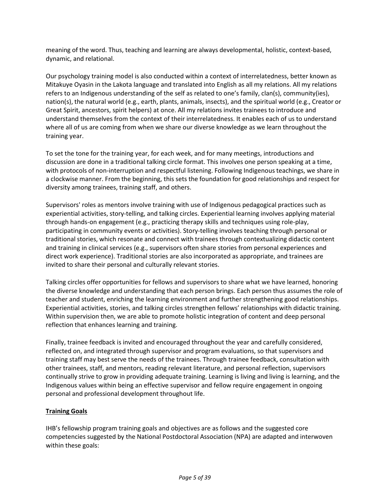meaning of the word. Thus, teaching and learning are always developmental, holistic, context-based, dynamic, and relational.

Our psychology training model is also conducted within a context of interrelatedness, better known as Mitakuye Oyasin in the Lakota language and translated into English as all my relations. All my relations refers to an Indigenous understanding of the self as related to one's family, clan(s), community(ies), nation(s), the natural world (e.g., earth, plants, animals, insects), and the spiritual world (e.g., Creator or Great Spirit, ancestors, spirit helpers) at once. All my relations invites trainees to introduce and understand themselves from the context of their interrelatedness. It enables each of us to understand where all of us are coming from when we share our diverse knowledge as we learn throughout the training year.

To set the tone for the training year, for each week, and for many meetings, introductions and discussion are done in a traditional talking circle format. This involves one person speaking at a time, with protocols of non-interruption and respectful listening. Following Indigenous teachings, we share in a clockwise manner. From the beginning, this sets the foundation for good relationships and respect for diversity among trainees, training staff, and others.

Supervisors' roles as mentors involve training with use of Indigenous pedagogical practices such as experiential activities, story-telling, and talking circles. Experiential learning involves applying material through hands-on engagement (e.g., practicing therapy skills and techniques using role-play, participating in community events or activities). Story-telling involves teaching through personal or traditional stories, which resonate and connect with trainees through contextualizing didactic content and training in clinical services (e.g., supervisors often share stories from personal experiences and direct work experience). Traditional stories are also incorporated as appropriate, and trainees are invited to share their personal and culturally relevant stories.

Talking circles offer opportunities for fellows and supervisors to share what we have learned, honoring the diverse knowledge and understanding that each person brings. Each person thus assumes the role of teacher and student, enriching the learning environment and further strengthening good relationships. Experiential activities, stories, and talking circles strengthen fellows' relationships with didactic training. Within supervision then, we are able to promote holistic integration of content and deep personal reflection that enhances learning and training.

Finally, trainee feedback is invited and encouraged throughout the year and carefully considered, reflected on, and integrated through supervisor and program evaluations, so that supervisors and training staff may best serve the needs of the trainees. Through trainee feedback, consultation with other trainees, staff, and mentors, reading relevant literature, and personal reflection, supervisors continually strive to grow in providing adequate training. Learning is living and living is learning, and the Indigenous values within being an effective supervisor and fellow require engagement in ongoing personal and professional development throughout life.

## **Training Goals**

IHB's fellowship program training goals and objectives are as follows and the suggested core competencies suggested by the National Postdoctoral Association (NPA) are adapted and interwoven within these goals: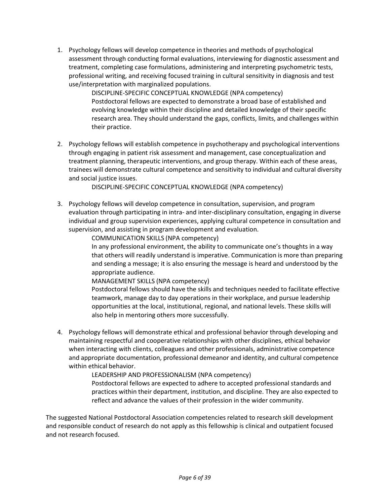1. Psychology fellows will develop competence in theories and methods of psychological assessment through conducting formal evaluations, interviewing for diagnostic assessment and treatment, completing case formulations, administering and interpreting psychometric tests, professional writing, and receiving focused training in cultural sensitivity in diagnosis and test use/interpretation with marginalized populations.

> DISCIPLINE-SPECIFIC CONCEPTUAL KNOWLEDGE (NPA competency) Postdoctoral fellows are expected to demonstrate a broad base of established and evolving knowledge within their discipline and detailed knowledge of their specific research area. They should understand the gaps, conflicts, limits, and challenges within their practice.

2. Psychology fellows will establish competence in psychotherapy and psychological interventions through engaging in patient risk assessment and management, case conceptualization and treatment planning, therapeutic interventions, and group therapy. Within each of these areas, trainees will demonstrate cultural competence and sensitivity to individual and cultural diversity and social justice issues.

DISCIPLINE-SPECIFIC CONCEPTUAL KNOWLEDGE (NPA competency)

3. Psychology fellows will develop competence in consultation, supervision, and program evaluation through participating in intra- and inter-disciplinary consultation, engaging in diverse individual and group supervision experiences, applying cultural competence in consultation and supervision, and assisting in program development and evaluation.

COMMUNICATION SKILLS (NPA competency)

In any professional environment, the ability to communicate one's thoughts in a way that others will readily understand is imperative. Communication is more than preparing and sending a message; it is also ensuring the message is heard and understood by the appropriate audience.

MANAGEMENT SKILLS (NPA competency)

Postdoctoral fellows should have the skills and techniques needed to facilitate effective teamwork, manage day to day operations in their workplace, and pursue leadership opportunities at the local, institutional, regional, and national levels. These skills will also help in mentoring others more successfully.

4. Psychology fellows will demonstrate ethical and professional behavior through developing and maintaining respectful and cooperative relationships with other disciplines, ethical behavior when interacting with clients, colleagues and other professionals, administrative competence and appropriate documentation, professional demeanor and identity, and cultural competence within ethical behavior.

> LEADERSHIP AND PROFESSIONALISM (NPA competency) Postdoctoral fellows are expected to adhere to accepted professional standards and

practices within their department, institution, and discipline. They are also expected to reflect and advance the values of their profession in the wider community.

The suggested National Postdoctoral Association competencies related to research skill development and responsible conduct of research do not apply as this fellowship is clinical and outpatient focused and not research focused.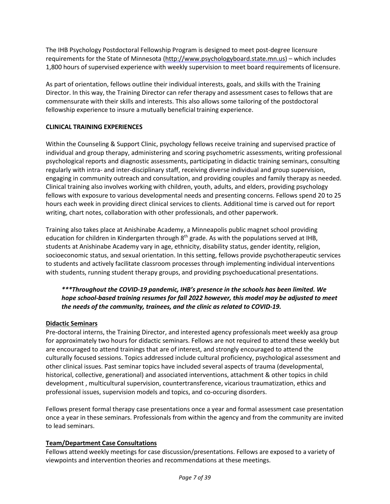The IHB Psychology Postdoctoral Fellowship Program is designed to meet post-degree licensure requirements for the State of Minnesota (http://www.psychologyboard.state.mn.us) – which includes 1,800 hours of supervised experience with weekly supervision to meet board requirements of licensure.

As part of orientation, fellows outline their individual interests, goals, and skills with the Training Director. In this way, the Training Director can refer therapy and assessment cases to fellows that are commensurate with their skills and interests. This also allows some tailoring of the postdoctoral fellowship experience to insure a mutually beneficial training experience.

## <span id="page-6-0"></span>**CLINICAL TRAINING EXPERIENCES**

Within the Counseling & Support Clinic, psychology fellows receive training and supervised practice of individual and group therapy, administering and scoring psychometric assessments, writing professional psychological reports and diagnostic assessments, participating in didactic training seminars, consulting regularly with intra- and inter-disciplinary staff, receiving diverse individual and group supervision, engaging in community outreach and consultation, and providing couples and family therapy as needed. Clinical training also involves working with children, youth, adults, and elders, providing psychology fellows with exposure to various developmental needs and presenting concerns. Fellows spend 20 to 25 hours each week in providing direct clinical services to clients. Additional time is carved out for report writing, chart notes, collaboration with other professionals, and other paperwork.

Training also takes place at Anishinabe Academy, a Minneapolis public magnet school providing education for children in Kindergarten through 8<sup>th</sup> grade. As with the populations served at IHB, students at Anishinabe Academy vary in age, ethnicity, disability status, gender identity, religion, socioeconomic status, and sexual orientation. In this setting, fellows provide psychotherapeutic services to students and actively facilitate classroom processes through implementing individual interventions with students, running student therapy groups, and providing psychoeducational presentations.

## *\*\*\*Throughout the COVID-19 pandemic, IHB's presence in the schools has been limited. We hope school-based training resumes for fall 2022 however, this model may be adjusted to meet the needs of the community, trainees, and the clinic as related to COVID-19.*

#### **Didactic Seminars**

Pre-doctoral interns, the Training Director, and interested agency professionals meet weekly asa group for approximately two hours for didactic seminars. Fellows are not required to attend these weekly but are encouraged to attend trainings that are of interest, and strongly encouraged to attend the culturally focused sessions. Topics addressed include cultural proficiency, psychological assessment and other clinical issues. Past seminar topics have included several aspects of trauma (developmental, historical, collective, generational) and associated interventions, attachment & other topics in child development , multicultural supervision, countertransference, vicarious traumatization, ethics and professional issues, supervision models and topics, and co-occuring disorders.

Fellows present formal therapy case presentations once a year and formal assessment case presentation once a year in these seminars. Professionals from within the agency and from the community are invited to lead seminars.

#### **Team/Department Case Consultations**

Fellows attend weekly meetings for case discussion/presentations. Fellows are exposed to a variety of viewpoints and intervention theories and recommendations at these meetings.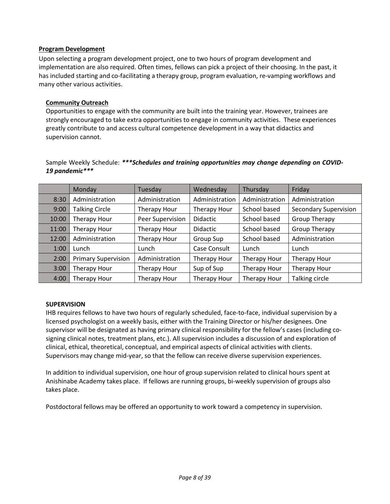## **Program Development**

Upon selecting a program development project, one to two hours of program development and implementation are also required. Often times, fellows can pick a project of their choosing. In the past, it has included starting and co-facilitating a therapy group, program evaluation, re-vamping workflows and many other various activities.

#### **Community Outreach**

Opportunities to engage with the community are built into the training year. However, trainees are strongly encouraged to take extra opportunities to engage in community activities. These experiences greatly contribute to and access cultural competence development in a way that didactics and supervision cannot.

Sample Weekly Schedule: *\*\*\*Schedules and training opportunities may change depending on COVID-19 pandemic\*\*\**

|       | Monday                     | Tuesday             | Wednesday       | Thursday            | Friday                       |
|-------|----------------------------|---------------------|-----------------|---------------------|------------------------------|
| 8:30  | Administration             | Administration      | Administration  | Administration      | Administration               |
| 9:00  | <b>Talking Circle</b>      | Therapy Hour        | Therapy Hour    | School based        | <b>Secondary Supervision</b> |
| 10:00 | Therapy Hour               | Peer Supervision    | <b>Didactic</b> | School based        | <b>Group Therapy</b>         |
| 11:00 | Therapy Hour               | Therapy Hour        | <b>Didactic</b> | School based        | <b>Group Therapy</b>         |
| 12:00 | Administration             | Therapy Hour        | Group Sup       | School based        | Administration               |
| 1:00  | Lunch                      | Lunch               | Case Consult    | Lunch               | Lunch                        |
| 2:00  | <b>Primary Supervision</b> | Administration      | Therapy Hour    | <b>Therapy Hour</b> | Therapy Hour                 |
| 3:00  | Therapy Hour               | <b>Therapy Hour</b> | Sup of Sup      | Therapy Hour        | Therapy Hour                 |
| 4:00  | Therapy Hour               | Therapy Hour        | Therapy Hour    | Therapy Hour        | Talking circle               |

#### <span id="page-7-0"></span>**SUPERVISION**

IHB requires fellows to have two hours of regularly scheduled, face-to-face, individual supervision by a licensed psychologist on a weekly basis, either with the Training Director or his/her designees. One supervisor will be designated as having primary clinical responsibility for the fellow's cases (including cosigning clinical notes, treatment plans, etc.). All supervision includes a discussion of and exploration of clinical, ethical, theoretical, conceptual, and empirical aspects of clinical activities with clients. Supervisors may change mid-year, so that the fellow can receive diverse supervision experiences.

In addition to individual supervision, one hour of group supervision related to clinical hours spent at Anishinabe Academy takes place. If fellows are running groups, bi-weekly supervision of groups also takes place.

Postdoctoral fellows may be offered an opportunity to work toward a competency in supervision.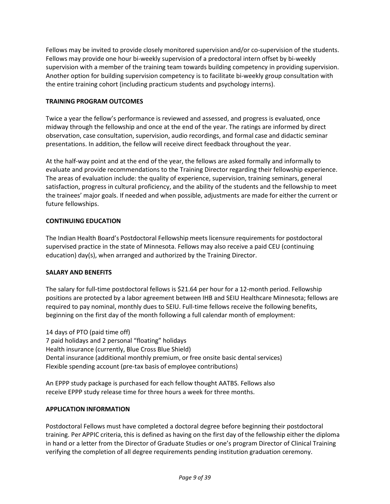Fellows may be invited to provide closely monitored supervision and/or co-supervision of the students. Fellows may provide one hour bi-weekly supervision of a predoctoral intern offset by bi-weekly supervision with a member of the training team towards building competency in providing supervision. Another option for building supervision competency is to facilitate bi-weekly group consultation with the entire training cohort (including practicum students and psychology interns).

## <span id="page-8-0"></span>**TRAINING PROGRAM OUTCOMES**

Twice a year the fellow's performance is reviewed and assessed, and progress is evaluated, once midway through the fellowship and once at the end of the year. The ratings are informed by direct observation, case consultation, supervision, audio recordings, and formal case and didactic seminar presentations. In addition, the fellow will receive direct feedback throughout the year.

At the half-way point and at the end of the year, the fellows are asked formally and informally to evaluate and provide recommendations to the Training Director regarding their fellowship experience. The areas of evaluation include: the quality of experience, supervision, training seminars, general satisfaction, progress in cultural proficiency, and the ability of the students and the fellowship to meet the trainees' major goals. If needed and when possible, adjustments are made for either the current or future fellowships.

## **CONTINUING EDUCATION**

The Indian Health Board's Postdoctoral Fellowship meets licensure requirements for postdoctoral supervised practice in the state of Minnesota. Fellows may also receive a paid CEU (continuing education) day(s), when arranged and authorized by the Training Director.

## **SALARY AND BENEFITS**

The salary for full-time postdoctoral fellows is \$21.64 per hour for a 12-month period. Fellowship positions are protected by a labor agreement between IHB and SEIU Healthcare Minnesota; fellows are required to pay nominal, monthly dues to SEIU. Full-time fellows receive the following benefits, beginning on the first day of the month following a full calendar month of employment:

14 days of PTO (paid time off) 7 paid holidays and 2 personal "floating" holidays Health insurance (currently, Blue Cross Blue Shield) Dental insurance (additional monthly premium, or free onsite basic dental services) Flexible spending account (pre-tax basis of employee contributions)

An EPPP study package is purchased for each fellow thought AATBS. Fellows also receive EPPP study release time for three hours a week for three months.

## <span id="page-8-1"></span>**APPLICATION INFORMATION**

Postdoctoral Fellows must have completed a doctoral degree before beginning their postdoctoral training. Per APPIC criteria, this is defined as having on the first day of the fellowship either the diploma in hand or a letter from the Director of Graduate Studies or one's program Director of Clinical Training verifying the completion of all degree requirements pending institution graduation ceremony.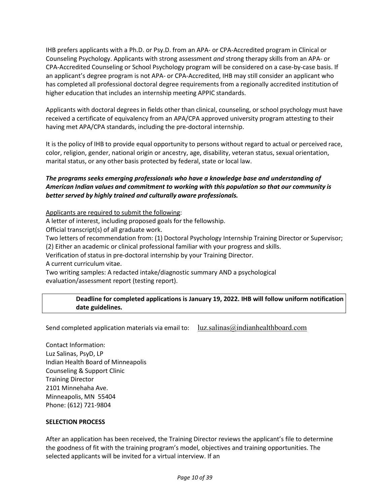IHB prefers applicants with a Ph.D. or Psy.D. from an APA- or CPA-Accredited program in Clinical or Counseling Psychology. Applicants with strong assessment *and* strong therapy skills from an APA- or CPA-Accredited Counseling or School Psychology program will be considered on a case-by-case basis. If an applicant's degree program is not APA- or CPA-Accredited, IHB may still consider an applicant who has completed all professional doctoral degree requirements from a regionally accredited institution of higher education that includes an internship meeting APPIC standards.

Applicants with doctoral degrees in fields other than clinical, counseling, orschool psychology must have received a certificate of equivalency from an APA/CPA approved university program attesting to their having met APA/CPA standards, including the pre-doctoral internship.

It is the policy of IHB to provide equal opportunity to persons without regard to actual or perceived race, color, religion, gender, national origin or ancestry, age, disability, veteran status, sexual orientation, marital status, or any other basis protected by federal, state or local law.

## *The programs seeks emerging professionals who have a knowledge base and understanding of American Indian values and commitment to working with this population so that our community is better served by highly trained and culturally aware professionals.*

Applicants are required to submit the following:

A letter of interest, including proposed goals for the fellowship.

Official transcript(s) of all graduate work.

Two letters of recommendation from: (1) Doctoral Psychology Internship Training Director or Supervisor; (2) Either an academic or clinical professional familiar with your progress and skills.

Verification of status in pre-doctoral internship by your Training Director.

A current curriculum vitae.

Two writing samples: A redacted intake/diagnostic summary AND a psychological evaluation/assessment report (testing report).

## **Deadline for completed applications is January 19, 2022. IHB will follow uniform notification date guidelines.**

Send completed application materials via email to:  $\ln z$ . salinas@indianhealthboard.com

Contact Information: Luz Salinas, PsyD, LP Indian Health Board of Minneapolis Counseling & Support Clinic Training Director 2101 Minnehaha Ave. Minneapolis, MN 55404 Phone: (612) 721-9804

## **SELECTION PROCESS**

After an application has been received, the Training Director reviews the applicant's file to determine the goodness of fit with the training program's model, objectives and training opportunities. The selected applicants will be invited for a virtual interview. If an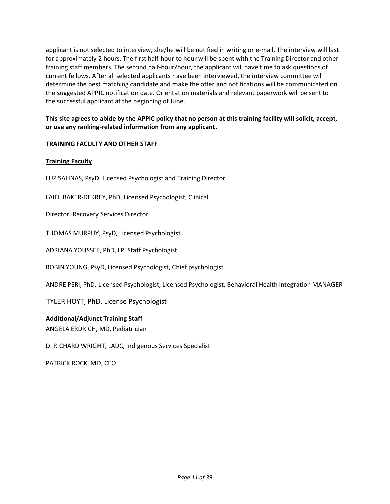applicant is not selected to interview, she/he will be notified in writing or e-mail. The interview will last for approximately 2 hours. The first half-hour to hour will be spent with the Training Director and other training staff members. The second half-hour/hour, the applicant will have time to ask questions of current fellows. After all selected applicants have been interviewed, the interview committee will determine the best matching candidate and make the offer and notifications will be communicated on the suggested APPIC notification date. Orientation materials and relevant paperwork will be sent to the successful applicant at the beginning of June.

## This site agrees to abide by the APPIC policy that no person at this training facility will solicit, accept, **or use any ranking-related information from any applicant.**

## **TRAINING FACULTY AND OTHER STAFF**

## **Training Faculty**

LUZ SALINAS, PsyD, Licensed Psychologist and Training Director

LAIEL BAKER-DEKREY, PhD, Licensed Psychologist, Clinical

Director, Recovery Services Director.

THOMAS MURPHY, PsyD, Licensed Psychologist

ADRIANA YOUSSEF, PhD, LP, Staff Psychologist

ROBIN YOUNG, PsyD, Licensed Psychologist, Chief psychologist

ANDRE PERI, PhD, Licensed Psychologist, Licensed Psychologist, Behavioral Health Integration MANAGER

TYLER HOYT, PhD, License Psychologist

#### **Additional/Adjunct Training Staff**

ANGELA ERDRICH, MD, Pediatrician

D. RICHARD WRIGHT, LADC, Indigenous Services Specialist

PATRICK ROCK, MD, CEO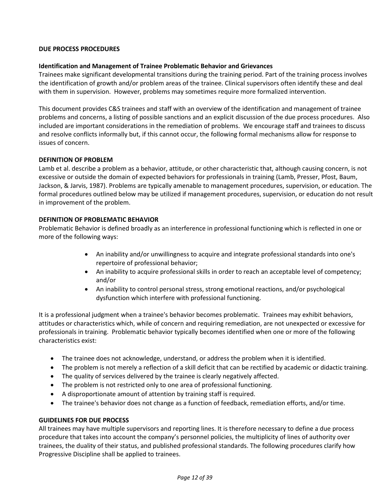#### **DUE PROCESS PROCEDURES**

#### **Identification and Management of Trainee Problematic Behavior and Grievances**

Trainees make significant developmental transitions during the training period. Part of the training process involves the identification of growth and/or problem areas of the trainee. Clinical supervisors often identify these and deal with them in supervision. However, problems may sometimes require more formalized intervention.

This document provides C&S trainees and staff with an overview of the identification and management of trainee problems and concerns, a listing of possible sanctions and an explicit discussion of the due process procedures. Also included are important considerations in the remediation of problems. We encourage staff and trainees to discuss and resolve conflicts informally but, if this cannot occur, the following formal mechanisms allow for response to issues of concern.

#### **DEFINITION OF PROBLEM**

Lamb et al. describe a problem as a behavior, attitude, or other characteristic that, although causing concern, is not excessive or outside the domain of expected behaviors for professionals in training (Lamb, Presser, Pfost, Baum, Jackson, & Jarvis, 1987). Problems are typically amenable to management procedures, supervision, or education. The formal procedures outlined below may be utilized if management procedures, supervision, or education do not result in improvement of the problem.

#### **DEFINITION OF PROBLEMATIC BEHAVIOR**

Problematic Behavior is defined broadly as an interference in professional functioning which is reflected in one or more of the following ways:

- An inability and/or unwillingness to acquire and integrate professional standards into one's repertoire of professional behavior;
- An inability to acquire professional skills in order to reach an acceptable level of competency; and/or
- An inability to control personal stress, strong emotional reactions, and/or psychological dysfunction which interfere with professional functioning.

It is a professional judgment when a trainee's behavior becomes problematic. Trainees may exhibit behaviors, attitudes or characteristics which, while of concern and requiring remediation, are not unexpected or excessive for professionals in training. Problematic behavior typically becomes identified when one or more of the following characteristics exist:

- The trainee does not acknowledge, understand, or address the problem when it is identified.
- The problem is not merely a reflection of a skill deficit that can be rectified by academic or didactic training.
- The quality of services delivered by the trainee is clearly negatively affected.
- The problem is not restricted only to one area of professional functioning.
- A disproportionate amount of attention by training staff is required.
- The trainee's behavior does not change as a function of feedback, remediation efforts, and/or time.

#### **GUIDELINES FOR DUE PROCESS**

All trainees may have multiple supervisors and reporting lines. It is therefore necessary to define a due process procedure that takes into account the company's personnel policies, the multiplicity of lines of authority over trainees, the duality of their status, and published professional standards. The following procedures clarify how Progressive Discipline shall be applied to trainees.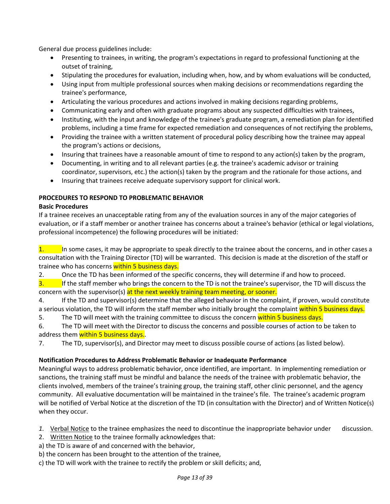General due process guidelines include:

- Presenting to trainees, in writing, the program's expectations in regard to professional functioning at the outset of training,
- Stipulating the procedures for evaluation, including when, how, and by whom evaluations will be conducted,
- Using input from multiple professional sources when making decisions or recommendations regarding the trainee's performance,
- Articulating the various procedures and actions involved in making decisions regarding problems,
- Communicating early and often with graduate programs about any suspected difficulties with trainees,
- Instituting, with the input and knowledge of the trainee's graduate program, a remediation plan for identified problems, including a time frame for expected remediation and consequences of not rectifying the problems,
- Providing the trainee with a written statement of procedural policy describing how the trainee may appeal the program's actions or decisions,
- Insuring that trainees have a reasonable amount of time to respond to any action(s) taken by the program,
- Documenting, in writing and to all relevant parties (e.g. the trainee's academic advisor or training coordinator, supervisors, etc.) the action(s) taken by the program and the rationale for those actions, and
- Insuring that trainees receive adequate supervisory support for clinical work.

## **PROCEDURES TO RESPOND TO PROBLEMATIC BEHAVIOR**

## **Basic Procedures**

If a trainee receives an unacceptable rating from any of the evaluation sources in any of the major categories of evaluation, or if a staff member or another trainee has concerns about a trainee's behavior (ethical or legal violations, professional incompetence) the following procedures will be initiated:

 $1.$  In some cases, it may be appropriate to speak directly to the trainee about the concerns, and in other cases a consultation with the Training Director (TD) will be warranted. This decision is made at the discretion of the staff or trainee who has concerns within 5 business days.

2. Once the TD has been informed of the specific concerns, they will determine if and how to proceed.

 $\frac{3}{10}$  If the staff member who brings the concern to the TD is not the trainee's supervisor, the TD will discuss the concern with the supervisor(s) at the next weekly training team meeting, or sooner.

4. If the TD and supervisor(s) determine that the alleged behavior in the complaint, if proven, would constitute a serious violation, the TD will inform the staff member who initially brought the complaint within 5 business days.

- 5. The TD will meet with the training committee to discuss the concern within 5 business days.
- 6. The TD will meet with the Director to discuss the concerns and possible courses of action to be taken to address them within 5 business days.
- 7. The TD, supervisor(s), and Director may meet to discuss possible course of actions (as listed below).

## **Notification Procedures to Address Problematic Behavior or Inadequate Performance**

Meaningful ways to address problematic behavior, once identified, are important. In implementing remediation or sanctions, the training staff must be mindful and balance the needs of the trainee with problematic behavior, the clients involved, members of the trainee's training group, the training staff, other clinic personnel, and the agency community. All evaluative documentation will be maintained in the trainee's file. The trainee's academic program will be notified of Verbal Notice at the discretion of the TD (in consultation with the Director) and of Written Notice(s) when they occur.

- 1. Verbal Notice to the trainee emphasizes the need to discontinue the inappropriate behavior under discussion.
- 2. Written Notice to the trainee formally acknowledges that:
- a) the TD is aware of and concerned with the behavior,
- b) the concern has been brought to the attention of the trainee,
- c) the TD will work with the trainee to rectify the problem or skill deficits; and,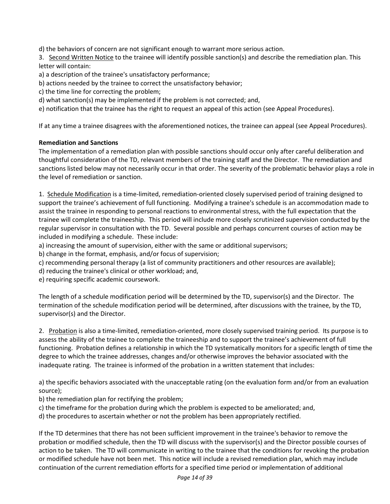d) the behaviors of concern are not significant enough to warrant more serious action.

3. Second Written Notice to the trainee will identify possible sanction(s) and describe the remediation plan. This letter will contain:

a) a description of the trainee's unsatisfactory performance;

- b) actions needed by the trainee to correct the unsatisfactory behavior;
- c) the time line for correcting the problem;

d) what sanction(s) may be implemented if the problem is not corrected; and,

e) notification that the trainee has the right to request an appeal of this action (see Appeal Procedures).

If at any time a trainee disagrees with the aforementioned notices, the trainee can appeal (see Appeal Procedures).

## **Remediation and Sanctions**

The implementation of a remediation plan with possible sanctions should occur only after careful deliberation and thoughtful consideration of the TD, relevant members of the training staff and the Director. The remediation and sanctions listed below may not necessarily occur in that order. The severity of the problematic behavior plays a role in the level of remediation or sanction.

1. Schedule Modification is a time-limited, remediation-oriented closely supervised period of training designed to support the trainee's achievement of full functioning. Modifying a trainee's schedule is an accommodation made to assist the trainee in responding to personal reactions to environmental stress, with the full expectation that the trainee will complete the traineeship. This period will include more closely scrutinized supervision conducted by the regular supervisor in consultation with the TD. Several possible and perhaps concurrent courses of action may be included in modifying a schedule. These include:

a) increasing the amount of supervision, either with the same or additional supervisors;

b) change in the format, emphasis, and/or focus of supervision;

c) recommending personal therapy (a list of community practitioners and other resources are available);

d) reducing the trainee's clinical or other workload; and,

e) requiring specific academic coursework.

The length of a schedule modification period will be determined by the TD, supervisor(s) and the Director. The termination of the schedule modification period will be determined, after discussions with the trainee, by the TD, supervisor(s) and the Director.

2. Probation is also a time-limited, remediation-oriented, more closely supervised training period. Its purpose is to assess the ability of the trainee to complete the traineeship and to support the trainee's achievement of full functioning. Probation defines a relationship in which the TD systematically monitors for a specific length of time the degree to which the trainee addresses, changes and/or otherwise improves the behavior associated with the inadequate rating. The trainee is informed of the probation in a written statement that includes:

a) the specific behaviors associated with the unacceptable rating (on the evaluation form and/or from an evaluation source);

b) the remediation plan for rectifying the problem;

- c) the timeframe for the probation during which the problem is expected to be ameliorated; and,
- d) the procedures to ascertain whether or not the problem has been appropriately rectified.

If the TD determines that there has not been sufficient improvement in the trainee's behavior to remove the probation or modified schedule, then the TD will discuss with the supervisor(s) and the Director possible courses of action to be taken. The TD will communicate in writing to the trainee that the conditions for revoking the probation or modified schedule have not been met. This notice will include a revised remediation plan, which may include continuation of the current remediation efforts for a specified time period or implementation of additional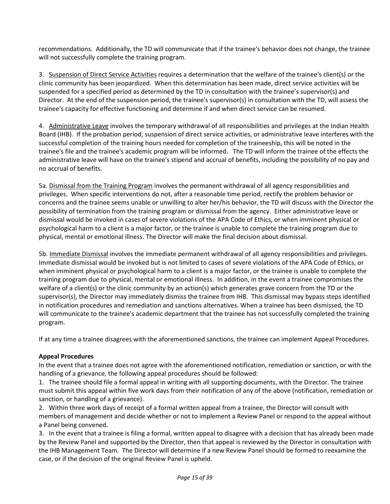recommendations. Additionally, the TD will communicate that if the trainee's behavior does not change, the trainee will not successfully complete the training program.

3. Suspension of Direct Service Activities requires a determination that the welfare of the trainee's client(s) or the clinic community has been jeopardized. When this determination has been made, direct service activities will be suspended for a specified period as determined by the TD in consultation with the trainee's supervisor(s) and Director. At the end of the suspension period, the trainee's supervisor(s) in consultation with the TD, will assess the trainee's capacity for effective functioning and determine if and when direct service can be resumed.

4. Administrative Leave involves the temporary withdrawal of all responsibilities and privileges at the Indian Health Board (IHB). If the probation period, suspension of direct service activities, or administrative leave interferes with the successful completion of the training hours needed for completion of the traineeship, this will be noted in the trainee's file and the trainee's academic program will be informed. The TD will inform the trainee of the effects the administrative leave will have on the trainee's stipend and accrual of benefits, including the possibility of no pay and no accrual of benefits.

5a. Dismissal from the Training Program involves the permanent withdrawal of all agency responsibilities and privileges. When specific interventions do not, after a reasonable time period, rectify the problem behavior or concerns and the trainee seems unable or unwilling to alter her/his behavior, the TD will discuss with the Director the possibility of termination from the training program or dismissal from the agency. Either administrative leave or dismissal would be invoked in cases of severe violations of the APA Code of Ethics, or when imminent physical or psychological harm to a client is a major factor, or the trainee is unable to complete the training program due to physical, mental or emotional illness. The Director will make the final decision about dismissal.

5b. Immediate Dismissal involves the immediate permanent withdrawal of all agency responsibilities and privileges. Immediate dismissal would be invoked but is not limited to cases of severe violations of the APA Code of Ethics, or when imminent physical or psychological harm to a client is a major factor, or the trainee is unable to complete the training program due to physical, mental or emotional illness. In addition, in the event a trainee compromises the welfare of a client(s) or the clinic community by an action(s) which generates grave concern from the TD or the supervisor(s), the Director may immediately dismiss the trainee from IHB. This dismissal may bypass steps identified in notification procedures and remediation and sanctions alternatives. When a trainee has been dismissed, the TD will communicate to the trainee's academic department that the trainee has not successfully completed the training program.

If at any time a trainee disagrees with the aforementioned sanctions, the trainee can implement Appeal Procedures.

#### **Appeal Procedures**

In the event that a trainee does not agree with the aforementioned notification, remediation or sanction, or with the handling of a grievance, the following appeal procedures should be followed:

1. The trainee should file a formal appeal in writing with all supporting documents, with the Director. The trainee must submit this appeal within five work days from their notification of any of the above (notification, remediation or sanction, or handling of a grievance).

2. Within three work days of receipt of a formal written appeal from a trainee, the Director will consult with members of management and decide whether or not to implement a Review Panel or respond to the appeal without a Panel being convened.

3. In the event that a trainee is filing a formal, written appeal to disagree with a decision that has already been made by the Review Panel and supported by the Director, then that appeal is reviewed by the Director in consultation with the IHB Management Team. The Director will determine if a new Review Panel should be formed to reexamine the case, or if the decision of the original Review Panel is upheld.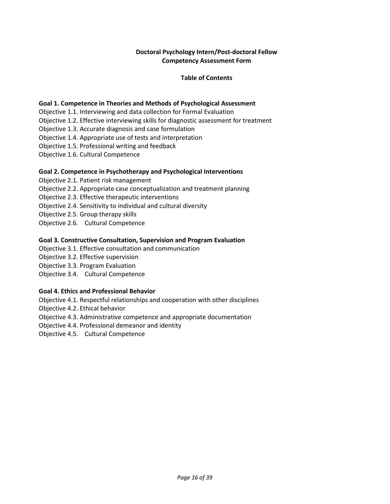## **Doctoral Psychology Intern/Post-doctoral Fellow Competency Assessment Form**

#### **Table of Contents**

#### **Goal 1. Competence in Theories and Methods of Psychological Assessment**

Objective 1.1. Interviewing and data collection for Formal Evaluation

Objective 1.2. Effective interviewing skills for diagnostic assessment for treatment

Objective 1.3. Accurate diagnosis and case formulation

Objective 1.4. Appropriate use of tests and interpretation

Objective 1.5. Professional writing and feedback

Objective 1.6. Cultural Competence

#### **Goal 2. Competence in Psychotherapy and Psychological Interventions**

Objective 2.1. Patient risk management Objective 2.2. Appropriate case conceptualization and treatment planning Objective 2.3. Effective therapeutic interventions Objective 2.4. Sensitivity to individual and cultural diversity Objective 2.5. Group therapy skills Objective 2.6. Cultural Competence

#### **Goal 3. Constructive Consultation, Supervision and Program Evaluation**

Objective 3.1. Effective consultation and communication

Objective 3.2. Effective supervision

Objective 3.3. Program Evaluation

Objective 3.4. Cultural Competence

#### **Goal 4. Ethics and Professional Behavior**

Objective 4.1. Respectful relationships and cooperation with other disciplines

Objective 4.2. Ethical behavior

Objective 4.3. Administrative competence and appropriate documentation

Objective 4.4. Professional demeanor and identity

Objective 4.5. Cultural Competence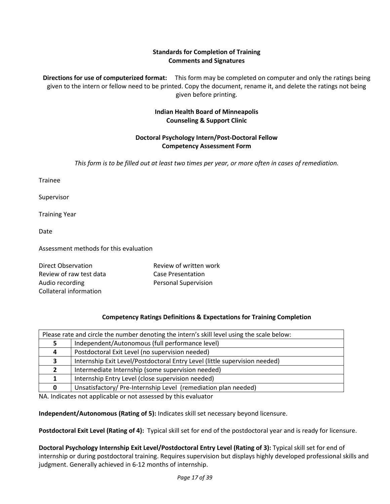## **Standards for Completion of Training Comments and Signatures**

**Directions for use of computerized format:** This form may be completed on computer and only the ratings being given to the intern or fellow need to be printed. Copy the document, rename it, and delete the ratings not being given before printing.

## **Indian Health Board of Minneapolis Counseling & Support Clinic**

## **Doctoral Psychology Intern/Post-Doctoral Fellow Competency Assessment Form**

*This form is to be filled out at least two times per year, or more often in cases of remediation.*

Trainee

Supervisor

Training Year

Date

Assessment methods for this evaluation

| Direct Observation      | Review of written work      |
|-------------------------|-----------------------------|
| Review of raw test data | Case Presentation           |
| Audio recording         | <b>Personal Supervision</b> |
| Collateral information  |                             |

#### **Competency Ratings Definitions & Expectations for Training Completion**

| Please rate and circle the number denoting the intern's skill level using the scale below: |                                                                            |  |
|--------------------------------------------------------------------------------------------|----------------------------------------------------------------------------|--|
|                                                                                            | Independent/Autonomous (full performance level)                            |  |
|                                                                                            | Postdoctoral Exit Level (no supervision needed)                            |  |
|                                                                                            | Internship Exit Level/Postdoctoral Entry Level (little supervision needed) |  |
|                                                                                            | Intermediate Internship (some supervision needed)                          |  |
|                                                                                            | Internship Entry Level (close supervision needed)                          |  |
|                                                                                            | Unsatisfactory/Pre-Internship Level (remediation plan needed)              |  |

NA. Indicates not applicable or not assessed by this evaluator

**Independent/Autonomous (Rating of 5):** Indicates skill set necessary beyond licensure.

**Postdoctoral Exit Level (Rating of 4):** Typical skill set for end of the postdoctoral year and is ready for licensure.

**Doctoral Psychology Internship Exit Level/Postdoctoral Entry Level (Rating of 3):** Typical skill set for end of internship or during postdoctoral training. Requires supervision but displays highly developed professional skills and judgment. Generally achieved in 6-12 months of internship.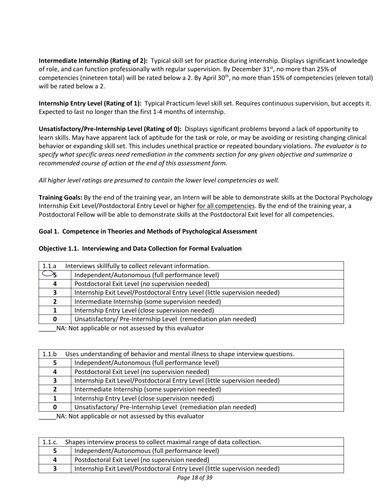**Intermediate Internship (Rating of 2):** Typical skill set for practice during internship. Displays significant knowledge of role, and can function professionally with regular supervision. By December  $31^{st}$ , no more than 25% of competencies (nineteen total) will be rated below a 2. By April 30<sup>th</sup>, no more than 15% of competencies (eleven total) will be rated below a 2.

**Internship Entry Level (Rating of 1):** Typical Practicum level skill set. Requires continuous supervision, but accepts it. Expected to last no longer than the first 1-4 months of internship.

**Unsatisfactory/Pre-Internship Level (Rating of 0):** Displays significant problems beyond a lack of opportunity to learn skills. May have apparent lack of aptitude for the task or role, or may be avoiding or resisting changing clinical behavior or expanding skill set. This includes unethical practice or repeated boundary violations. *The evaluator is to specify what specific areas need remediation in the comments section for any given objective and summarize a recommended course of action at the end of this assessment form.* 

*All higher level ratings are presumed to contain the lower level competencies as well.*

**Training Goals:** By the end of the training year, an Intern will be able to demonstrate skills at the Doctoral Psychology Internship Exit Level/Postdoctoral Entry Level or higher for all competencies. By the end of the training year, a Postdoctoral Fellow will be able to demonstrate skills at the Postdoctoral Exit level for all competencies.

## **Goal 1. Competence in Theories and Methods of Psychological Assessment**

#### **Objective 1.1. Interviewing and Data Collection for Formal Evaluation**

| 1.1.a                                                       | Interviews skillfully to collect relevant information.                     |  |
|-------------------------------------------------------------|----------------------------------------------------------------------------|--|
|                                                             | Independent/Autonomous (full performance level)                            |  |
| 4                                                           | Postdoctoral Exit Level (no supervision needed)                            |  |
|                                                             | Internship Exit Level/Postdoctoral Entry Level (little supervision needed) |  |
|                                                             | Intermediate Internship (some supervision needed)                          |  |
|                                                             | Internship Entry Level (close supervision needed)                          |  |
| <sup>0</sup>                                                | Unsatisfactory/Pre-Internship Level (remediation plan needed)              |  |
| MA . Materializable concert concerted builders and interest |                                                                            |  |

\_\_\_\_\_NA: Not applicable or not assessed by this evaluator

| 1.1.b                                                | Uses understanding of behavior and mental illness to shape interview questions. |  |
|------------------------------------------------------|---------------------------------------------------------------------------------|--|
|                                                      | Independent/Autonomous (full performance level)                                 |  |
| 4                                                    | Postdoctoral Exit Level (no supervision needed)                                 |  |
| 3.                                                   | Internship Exit Level/Postdoctoral Entry Level (little supervision needed)      |  |
|                                                      | Intermediate Internship (some supervision needed)                               |  |
|                                                      | Internship Entry Level (close supervision needed)                               |  |
|                                                      | Unsatisfactory/Pre-Internship Level (remediation plan needed)                   |  |
| NA . Net enable ble en net essessed buthis such sten |                                                                                 |  |

| 1.1.c. | Shapes interview process to collect maximal range of data collection.      |
|--------|----------------------------------------------------------------------------|
|        | Independent/Autonomous (full performance level)                            |
|        | Postdoctoral Exit Level (no supervision needed)                            |
|        | Internship Exit Level/Postdoctoral Entry Level (little supervision needed) |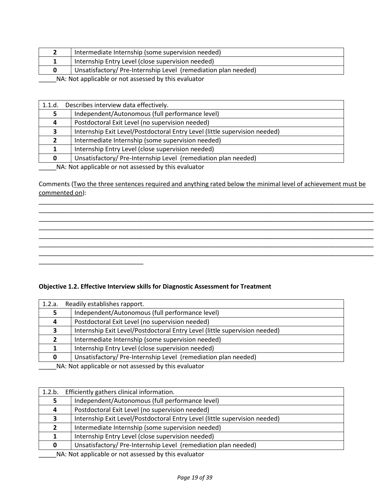| Internship Entry Level (close supervision needed)             |  |
|---------------------------------------------------------------|--|
|                                                               |  |
| Unsatisfactory/Pre-Internship Level (remediation plan needed) |  |

| 1.1.d. | Describes interview data effectively.                                      |
|--------|----------------------------------------------------------------------------|
|        | Independent/Autonomous (full performance level)                            |
|        | Postdoctoral Exit Level (no supervision needed)                            |
| 3      | Internship Exit Level/Postdoctoral Entry Level (little supervision needed) |
|        | Intermediate Internship (some supervision needed)                          |
|        | Internship Entry Level (close supervision needed)                          |
|        | Unsatisfactory/Pre-Internship Level (remediation plan needed)              |

\_\_\_\_\_NA: Not applicable or not assessed by this evaluator

\_\_\_\_\_\_\_\_\_\_\_\_\_\_\_\_\_\_\_\_\_\_\_\_\_\_\_\_\_\_

Comments (Two the three sentences required and anything rated below the minimal level of achievement must be commented on):

\_\_\_\_\_\_\_\_\_\_\_\_\_\_\_\_\_\_\_\_\_\_\_\_\_\_\_\_\_\_\_\_\_\_\_\_\_\_\_\_\_\_\_\_\_\_\_\_\_\_\_\_\_\_\_\_\_\_\_\_\_\_\_\_\_\_\_\_\_\_\_\_\_\_\_\_\_\_\_\_\_\_\_\_\_\_\_\_\_\_\_\_\_\_\_\_ \_\_\_\_\_\_\_\_\_\_\_\_\_\_\_\_\_\_\_\_\_\_\_\_\_\_\_\_\_\_\_\_\_\_\_\_\_\_\_\_\_\_\_\_\_\_\_\_\_\_\_\_\_\_\_\_\_\_\_\_\_\_\_\_\_\_\_\_\_\_\_\_\_\_\_\_\_\_\_\_\_\_\_\_\_\_\_\_\_\_\_\_\_\_\_\_ \_\_\_\_\_\_\_\_\_\_\_\_\_\_\_\_\_\_\_\_\_\_\_\_\_\_\_\_\_\_\_\_\_\_\_\_\_\_\_\_\_\_\_\_\_\_\_\_\_\_\_\_\_\_\_\_\_\_\_\_\_\_\_\_\_\_\_\_\_\_\_\_\_\_\_\_\_\_\_\_\_\_\_\_\_\_\_\_\_\_\_\_\_\_\_\_ \_\_\_\_\_\_\_\_\_\_\_\_\_\_\_\_\_\_\_\_\_\_\_\_\_\_\_\_\_\_\_\_\_\_\_\_\_\_\_\_\_\_\_\_\_\_\_\_\_\_\_\_\_\_\_\_\_\_\_\_\_\_\_\_\_\_\_\_\_\_\_\_\_\_\_\_\_\_\_\_\_\_\_\_\_\_\_\_\_\_\_\_\_\_\_\_ \_\_\_\_\_\_\_\_\_\_\_\_\_\_\_\_\_\_\_\_\_\_\_\_\_\_\_\_\_\_\_\_\_\_\_\_\_\_\_\_\_\_\_\_\_\_\_\_\_\_\_\_\_\_\_\_\_\_\_\_\_\_\_\_\_\_\_\_\_\_\_\_\_\_\_\_\_\_\_\_\_\_\_\_\_\_\_\_\_\_\_\_\_\_\_\_ \_\_\_\_\_\_\_\_\_\_\_\_\_\_\_\_\_\_\_\_\_\_\_\_\_\_\_\_\_\_\_\_\_\_\_\_\_\_\_\_\_\_\_\_\_\_\_\_\_\_\_\_\_\_\_\_\_\_\_\_\_\_\_\_\_\_\_\_\_\_\_\_\_\_\_\_\_\_\_\_\_\_\_\_\_\_\_\_\_\_\_\_\_\_\_\_ \_\_\_\_\_\_\_\_\_\_\_\_\_\_\_\_\_\_\_\_\_\_\_\_\_\_\_\_\_\_\_\_\_\_\_\_\_\_\_\_\_\_\_\_\_\_\_\_\_\_\_\_\_\_\_\_\_\_\_\_\_\_\_\_\_\_\_\_\_\_\_\_\_\_\_\_\_\_\_\_\_\_\_\_\_\_\_\_\_\_\_\_\_\_\_\_

#### **Objective 1.2. Effective Interview skills for Diagnostic Assessment for Treatment**

| Readily establishes rapport.                                               |
|----------------------------------------------------------------------------|
| Independent/Autonomous (full performance level)                            |
| Postdoctoral Exit Level (no supervision needed)                            |
| Internship Exit Level/Postdoctoral Entry Level (little supervision needed) |
| Intermediate Internship (some supervision needed)                          |
| Internship Entry Level (close supervision needed)                          |
| Unsatisfactory/Pre-Internship Level (remediation plan needed)              |
|                                                                            |

\_\_\_\_NA: Not applicable or not assessed by this evaluator

| 1.2.b.                                               | Efficiently gathers clinical information.                                  |  |
|------------------------------------------------------|----------------------------------------------------------------------------|--|
|                                                      | Independent/Autonomous (full performance level)                            |  |
| 4                                                    | Postdoctoral Exit Level (no supervision needed)                            |  |
| 3                                                    | Internship Exit Level/Postdoctoral Entry Level (little supervision needed) |  |
| Σ.                                                   | Intermediate Internship (some supervision needed)                          |  |
|                                                      | Internship Entry Level (close supervision needed)                          |  |
| 0                                                    | Unsatisfactory/Pre-Internship Level (remediation plan needed)              |  |
| NA blot applicable or not accorsed by this ovaluator |                                                                            |  |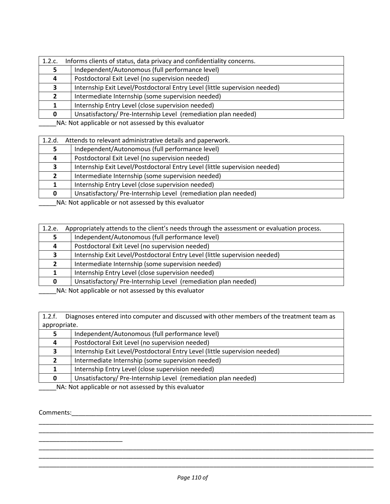| 1.2.c. | Informs clients of status, data privacy and confidentiality concerns.                                                                                                                                                                  |  |  |
|--------|----------------------------------------------------------------------------------------------------------------------------------------------------------------------------------------------------------------------------------------|--|--|
|        | Independent/Autonomous (full performance level)                                                                                                                                                                                        |  |  |
|        | Postdoctoral Exit Level (no supervision needed)                                                                                                                                                                                        |  |  |
| З.     | Internship Exit Level/Postdoctoral Entry Level (little supervision needed)                                                                                                                                                             |  |  |
|        | Intermediate Internship (some supervision needed)                                                                                                                                                                                      |  |  |
|        | Internship Entry Level (close supervision needed)                                                                                                                                                                                      |  |  |
|        | Unsatisfactory/Pre-Internship Level (remediation plan needed)                                                                                                                                                                          |  |  |
|        | <b>ALA</b> ALCOHOL: $\mathbf{H}$ . The contract of the contract of the contract of the contract of the contract of the contract of the contract of the contract of the contract of the contract of the contract of the contract of the |  |  |

| 1.2.d. | Attends to relevant administrative details and paperwork.                                                                                                                                                                                                                                                                                                                                                                                                    |
|--------|--------------------------------------------------------------------------------------------------------------------------------------------------------------------------------------------------------------------------------------------------------------------------------------------------------------------------------------------------------------------------------------------------------------------------------------------------------------|
|        | Independent/Autonomous (full performance level)                                                                                                                                                                                                                                                                                                                                                                                                              |
| 4      | Postdoctoral Exit Level (no supervision needed)                                                                                                                                                                                                                                                                                                                                                                                                              |
|        | Internship Exit Level/Postdoctoral Entry Level (little supervision needed)                                                                                                                                                                                                                                                                                                                                                                                   |
|        | Intermediate Internship (some supervision needed)                                                                                                                                                                                                                                                                                                                                                                                                            |
|        | Internship Entry Level (close supervision needed)                                                                                                                                                                                                                                                                                                                                                                                                            |
| 0      | Unsatisfactory/Pre-Internship Level (remediation plan needed)                                                                                                                                                                                                                                                                                                                                                                                                |
|        | $\mathbf{a} \cdot \mathbf{b} = \mathbf{a} \cdot \mathbf{b} = \mathbf{a} \cdot \mathbf{b} = \mathbf{a} \cdot \mathbf{a} + \mathbf{b} \cdot \mathbf{a} + \mathbf{b} \cdot \mathbf{b} + \mathbf{b} \cdot \mathbf{b} + \mathbf{b} \cdot \mathbf{b} + \mathbf{b} \cdot \mathbf{b} + \mathbf{b} \cdot \mathbf{b} + \mathbf{b} \cdot \mathbf{b} + \mathbf{b} \cdot \mathbf{b} + \mathbf{b} \cdot \mathbf{b} + \mathbf{b} \cdot \mathbf{b} + \mathbf{b} \cdot \math$ |

\_\_\_\_\_NA: Not applicable or not assessed by this evaluator

| 1.2.e.       | Appropriately attends to the client's needs through the assessment or evaluation process. |  |
|--------------|-------------------------------------------------------------------------------------------|--|
|              | Independent/Autonomous (full performance level)                                           |  |
| 4            | Postdoctoral Exit Level (no supervision needed)                                           |  |
| 3            | Internship Exit Level/Postdoctoral Entry Level (little supervision needed)                |  |
|              | Intermediate Internship (some supervision needed)                                         |  |
|              | Internship Entry Level (close supervision needed)                                         |  |
| <sup>0</sup> | Unsatisfactory/Pre-Internship Level (remediation plan needed)                             |  |
|              | MA, Net opplied as part cooperad but also published                                       |  |

\_\_\_\_\_NA: Not applicable or not assessed by this evaluator

1.2.f. Diagnoses entered into computer and discussed with other members of the treatment team as appropriate.

| Independent/Autonomous (full performance level)                                                                        |
|------------------------------------------------------------------------------------------------------------------------|
| Postdoctoral Exit Level (no supervision needed)                                                                        |
| Internship Exit Level/Postdoctoral Entry Level (little supervision needed)                                             |
| Intermediate Internship (some supervision needed)                                                                      |
| Internship Entry Level (close supervision needed)                                                                      |
| Unsatisfactory/Pre-Internship Level (remediation plan needed)                                                          |
| <b>ARABIA DE LES DE LA CARDINA DE LA CARDINA DE LA CARDINA DE LA CARDINA DE LA CARDINA DE LA CARDINA DE LA CARDINA</b> |

\_\_\_\_\_NA: Not applicable or not assessed by this evaluator

#### Comments:

\_\_\_\_\_\_\_\_\_\_\_\_\_\_\_\_\_\_\_\_\_\_\_\_

\_\_\_\_\_\_\_\_\_\_\_\_\_\_\_\_\_\_\_\_\_\_\_\_\_\_\_\_\_\_\_\_\_\_\_\_\_\_\_\_\_\_\_\_\_\_\_\_\_\_\_\_\_\_\_\_\_\_\_\_\_\_\_\_\_\_\_\_\_\_\_\_\_\_\_\_\_\_\_\_\_\_\_\_\_\_\_\_\_\_\_\_\_\_\_\_ \_\_\_\_\_\_\_\_\_\_\_\_\_\_\_\_\_\_\_\_\_\_\_\_\_\_\_\_\_\_\_\_\_\_\_\_\_\_\_\_\_\_\_\_\_\_\_\_\_\_\_\_\_\_\_\_\_\_\_\_\_\_\_\_\_\_\_\_\_\_\_\_\_\_\_\_\_\_\_\_\_\_\_\_\_\_\_\_\_\_\_\_\_\_\_\_

\_\_\_\_\_\_\_\_\_\_\_\_\_\_\_\_\_\_\_\_\_\_\_\_\_\_\_\_\_\_\_\_\_\_\_\_\_\_\_\_\_\_\_\_\_\_\_\_\_\_\_\_\_\_\_\_\_\_\_\_\_\_\_\_\_\_\_\_\_\_\_\_\_\_\_\_\_\_\_\_\_\_\_\_\_\_\_\_\_\_\_\_\_\_\_\_ \_\_\_\_\_\_\_\_\_\_\_\_\_\_\_\_\_\_\_\_\_\_\_\_\_\_\_\_\_\_\_\_\_\_\_\_\_\_\_\_\_\_\_\_\_\_\_\_\_\_\_\_\_\_\_\_\_\_\_\_\_\_\_\_\_\_\_\_\_\_\_\_\_\_\_\_\_\_\_\_\_\_\_\_\_\_\_\_\_\_\_\_\_\_\_\_ \_\_\_\_\_\_\_\_\_\_\_\_\_\_\_\_\_\_\_\_\_\_\_\_\_\_\_\_\_\_\_\_\_\_\_\_\_\_\_\_\_\_\_\_\_\_\_\_\_\_\_\_\_\_\_\_\_\_\_\_\_\_\_\_\_\_\_\_\_\_\_\_\_\_\_\_\_\_\_\_\_\_\_\_\_\_\_\_\_\_\_\_\_\_\_\_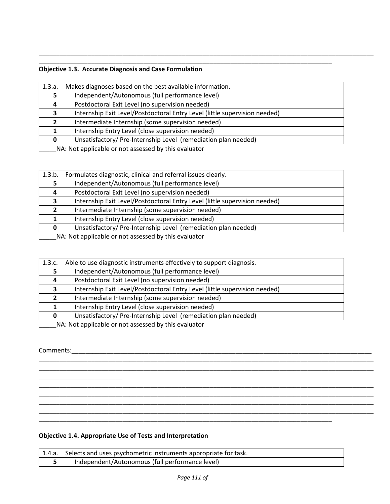## **Objective 1.3. Accurate Diagnosis and Case Formulation**

| 1.3.a.                                                                                                                                                                                                                                                                                                                                                                                                                                                       | Makes diagnoses based on the best available information.                   |
|--------------------------------------------------------------------------------------------------------------------------------------------------------------------------------------------------------------------------------------------------------------------------------------------------------------------------------------------------------------------------------------------------------------------------------------------------------------|----------------------------------------------------------------------------|
|                                                                                                                                                                                                                                                                                                                                                                                                                                                              | Independent/Autonomous (full performance level)                            |
|                                                                                                                                                                                                                                                                                                                                                                                                                                                              | Postdoctoral Exit Level (no supervision needed)                            |
| З.                                                                                                                                                                                                                                                                                                                                                                                                                                                           | Internship Exit Level/Postdoctoral Entry Level (little supervision needed) |
|                                                                                                                                                                                                                                                                                                                                                                                                                                                              | Intermediate Internship (some supervision needed)                          |
|                                                                                                                                                                                                                                                                                                                                                                                                                                                              | Internship Entry Level (close supervision needed)                          |
| 0                                                                                                                                                                                                                                                                                                                                                                                                                                                            | Unsatisfactory/Pre-Internship Level (remediation plan needed)              |
| $\mathbf{a} \cdot \mathbf{b} = \mathbf{a} \cdot \mathbf{b} = \mathbf{a} \cdot \mathbf{b} = \mathbf{a} \cdot \mathbf{a} + \mathbf{b} \cdot \mathbf{a} + \mathbf{b} \cdot \mathbf{a} + \mathbf{b} \cdot \mathbf{a} + \mathbf{b} \cdot \mathbf{a} + \mathbf{b} \cdot \mathbf{a} + \mathbf{b} \cdot \mathbf{a} + \mathbf{b} \cdot \mathbf{a} + \mathbf{b} \cdot \mathbf{a} + \mathbf{b} \cdot \mathbf{a} + \mathbf{b} \cdot \mathbf{a} + \mathbf{b} \cdot \math$ |                                                                            |

\_\_\_\_\_\_\_\_\_\_\_\_\_\_\_\_\_\_\_\_\_\_\_\_\_\_\_\_\_\_\_\_\_\_\_\_\_\_\_\_\_\_\_\_\_\_\_\_\_\_\_\_\_\_\_\_\_\_\_\_\_\_\_\_\_\_\_\_\_\_\_\_\_\_\_\_\_\_\_\_\_\_\_\_

\_\_\_\_\_\_\_\_\_\_\_\_\_\_\_\_\_\_\_\_\_\_\_\_\_\_\_\_\_\_\_\_\_\_\_\_\_\_\_\_\_\_\_\_\_\_\_\_\_\_\_\_\_\_\_\_\_\_\_\_\_\_\_\_\_\_\_\_\_\_\_\_\_\_\_\_\_\_\_\_\_\_\_\_\_\_\_\_\_\_\_\_\_\_\_\_

\_\_\_\_NA: Not applicable or not assessed by this evaluator

| 1.3.b. | Formulates diagnostic, clinical and referral issues clearly.               |
|--------|----------------------------------------------------------------------------|
|        | Independent/Autonomous (full performance level)                            |
|        | Postdoctoral Exit Level (no supervision needed)                            |
| 3.     | Internship Exit Level/Postdoctoral Entry Level (little supervision needed) |
|        | Intermediate Internship (some supervision needed)                          |
|        | Internship Entry Level (close supervision needed)                          |
| 0      | Unsatisfactory/Pre-Internship Level (remediation plan needed)              |
|        | NA: Not applicable or not assessed by this ovaluator                       |

\_\_\_\_\_NA: Not applicable or not assessed by this evaluator

| 1.3.c. | Able to use diagnostic instruments effectively to support diagnosis.                                                   |  |
|--------|------------------------------------------------------------------------------------------------------------------------|--|
|        | Independent/Autonomous (full performance level)                                                                        |  |
| 4      | Postdoctoral Exit Level (no supervision needed)                                                                        |  |
|        | Internship Exit Level/Postdoctoral Entry Level (little supervision needed)                                             |  |
|        | Intermediate Internship (some supervision needed)                                                                      |  |
|        | Internship Entry Level (close supervision needed)                                                                      |  |
| 0      | Unsatisfactory/Pre-Internship Level (remediation plan needed)                                                          |  |
|        | <b>ARABIA DE LES DE LA CARDINA DE LA CARDINA DE LA CARDINA DE LA CARDINA DE LA CARDINA DE LA CARDINA DE LA CARDINA</b> |  |

\_\_\_\_\_\_\_\_\_\_\_\_\_\_\_\_\_\_\_\_\_\_\_\_\_\_\_\_\_\_\_\_\_\_\_\_\_\_\_\_\_\_\_\_\_\_\_\_\_\_\_\_\_\_\_\_\_\_\_\_\_\_\_\_\_\_\_\_\_\_\_\_\_\_\_\_\_\_\_\_\_\_\_\_\_\_\_\_\_\_\_\_\_\_\_\_

\_\_\_\_\_\_\_\_\_\_\_\_\_\_\_\_\_\_\_\_\_\_\_\_\_\_\_\_\_\_\_\_\_\_\_\_\_\_\_\_\_\_\_\_\_\_\_\_\_\_\_\_\_\_\_\_\_\_\_\_\_\_\_\_\_\_\_\_\_\_\_\_\_\_\_\_\_\_\_\_\_\_\_\_\_\_\_\_\_\_\_\_\_\_\_\_ \_\_\_\_\_\_\_\_\_\_\_\_\_\_\_\_\_\_\_\_\_\_\_\_\_\_\_\_\_\_\_\_\_\_\_\_\_\_\_\_\_\_\_\_\_\_\_\_\_\_\_\_\_\_\_\_\_\_\_\_\_\_\_\_\_\_\_\_\_\_\_\_\_\_\_\_\_\_\_\_\_\_\_\_\_\_\_\_\_\_\_\_\_\_\_\_ \_\_\_\_\_\_\_\_\_\_\_\_\_\_\_\_\_\_\_\_\_\_\_\_\_\_\_\_\_\_\_\_\_\_\_\_\_\_\_\_\_\_\_\_\_\_\_\_\_\_\_\_\_\_\_\_\_\_\_\_\_\_\_\_\_\_\_\_\_\_\_\_\_\_\_\_\_\_\_\_\_\_\_\_\_\_\_\_\_\_\_\_\_\_\_\_ \_\_\_\_\_\_\_\_\_\_\_\_\_\_\_\_\_\_\_\_\_\_\_\_\_\_\_\_\_\_\_\_\_\_\_\_\_\_\_\_\_\_\_\_\_\_\_\_\_\_\_\_\_\_\_\_\_\_\_\_\_\_\_\_\_\_\_\_\_\_\_\_\_\_\_\_\_\_\_\_\_\_\_\_\_\_\_\_\_\_\_\_\_\_\_\_

\_\_\_\_\_NA: Not applicable or not assessed by this evaluator

 $\frac{1}{2}$  ,  $\frac{1}{2}$  ,  $\frac{1}{2}$  ,  $\frac{1}{2}$  ,  $\frac{1}{2}$  ,  $\frac{1}{2}$  ,  $\frac{1}{2}$  ,  $\frac{1}{2}$  ,  $\frac{1}{2}$  ,  $\frac{1}{2}$ 

#### Comments: with the comments of the comments of the comments of the comments of the comments of the comments of the comments of the comments of the comments of the comments of the comments of the comments of the comments of

**Objective 1.4. Appropriate Use of Tests and Interpretation**

| 1.4.a. Selects and uses psychometric instruments appropriate for task. |
|------------------------------------------------------------------------|
| Independent/Autonomous (full performance level)                        |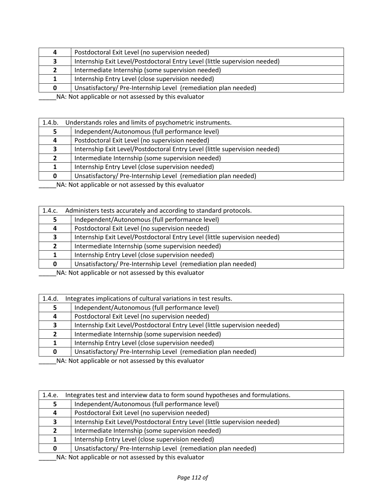|                                                                   | Postdoctoral Exit Level (no supervision needed)                            |
|-------------------------------------------------------------------|----------------------------------------------------------------------------|
|                                                                   | Internship Exit Level/Postdoctoral Entry Level (little supervision needed) |
|                                                                   | Intermediate Internship (some supervision needed)                          |
|                                                                   | Internship Entry Level (close supervision needed)                          |
|                                                                   | Unsatisfactory/Pre-Internship Level (remediation plan needed)              |
| ATA : Ata transmitted ble representation and builded and business |                                                                            |

| 1.4.b. | Understands roles and limits of psychometric instruments.                  |
|--------|----------------------------------------------------------------------------|
|        | Independent/Autonomous (full performance level)                            |
| 4      | Postdoctoral Exit Level (no supervision needed)                            |
| 3      | Internship Exit Level/Postdoctoral Entry Level (little supervision needed) |
| 2      | Intermediate Internship (some supervision needed)                          |
|        | Internship Entry Level (close supervision needed)                          |
|        | Unsatisfactory/Pre-Internship Level (remediation plan needed)              |

\_\_\_\_\_NA: Not applicable or not assessed by this evaluator

| 1.4.c.                                                                                                                 | Administers tests accurately and according to standard protocols.          |
|------------------------------------------------------------------------------------------------------------------------|----------------------------------------------------------------------------|
|                                                                                                                        | Independent/Autonomous (full performance level)                            |
| 4                                                                                                                      | Postdoctoral Exit Level (no supervision needed)                            |
|                                                                                                                        | Internship Exit Level/Postdoctoral Entry Level (little supervision needed) |
|                                                                                                                        | Intermediate Internship (some supervision needed)                          |
|                                                                                                                        | Internship Entry Level (close supervision needed)                          |
| 0                                                                                                                      | Unsatisfactory/Pre-Internship Level (remediation plan needed)              |
| <b>ARABIA DE LES DE LA CARDINA DE LA CARDINA DE LA CARDINA DE LA CARDINA DE LA CARDINA DE LA CARDINA DE LA CARDINA</b> |                                                                            |

\_\_\_\_\_NA: Not applicable or not assessed by this evaluator

| 1.4.d. | Integrates implications of cultural variations in test results.            |  |
|--------|----------------------------------------------------------------------------|--|
|        | Independent/Autonomous (full performance level)                            |  |
|        | Postdoctoral Exit Level (no supervision needed)                            |  |
| 3.     | Internship Exit Level/Postdoctoral Entry Level (little supervision needed) |  |
|        | Intermediate Internship (some supervision needed)                          |  |
|        | Internship Entry Level (close supervision needed)                          |  |
| 0      | Unsatisfactory/Pre-Internship Level (remediation plan needed)              |  |
|        | NA . Not applicable or not accorded by this qualuptor                      |  |

\_\_\_\_\_NA: Not applicable or not assessed by this evaluator

| 1.4.e.                                               | Integrates test and interview data to form sound hypotheses and formulations. |
|------------------------------------------------------|-------------------------------------------------------------------------------|
|                                                      | Independent/Autonomous (full performance level)                               |
| 4                                                    | Postdoctoral Exit Level (no supervision needed)                               |
| э.                                                   | Internship Exit Level/Postdoctoral Entry Level (little supervision needed)    |
| $2^{\circ}$                                          | Intermediate Internship (some supervision needed)                             |
|                                                      | Internship Entry Level (close supervision needed)                             |
| 0                                                    | Unsatisfactory/Pre-Internship Level (remediation plan needed)                 |
| NA: Not applicable or not accorsed by this ovaluator |                                                                               |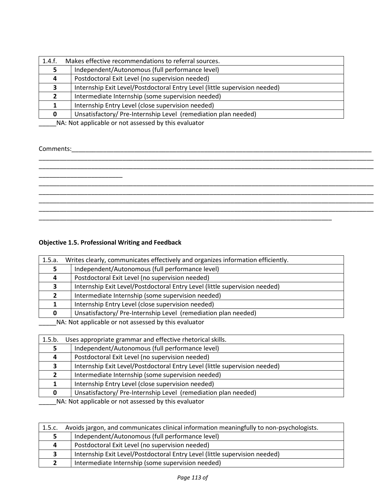| 1.4.f. | Makes effective recommendations to referral sources.                       |  |  |  |  |
|--------|----------------------------------------------------------------------------|--|--|--|--|
|        | Independent/Autonomous (full performance level)                            |  |  |  |  |
|        | Postdoctoral Exit Level (no supervision needed)                            |  |  |  |  |
| э.     | Internship Exit Level/Postdoctoral Entry Level (little supervision needed) |  |  |  |  |
|        | Intermediate Internship (some supervision needed)                          |  |  |  |  |
|        | Internship Entry Level (close supervision needed)                          |  |  |  |  |
|        | Unsatisfactory/Pre-Internship Level (remediation plan needed)              |  |  |  |  |

# Comments:\_\_\_\_\_\_\_\_\_\_\_\_\_\_\_\_\_\_\_\_\_\_\_\_\_\_\_\_\_\_\_\_\_\_\_\_\_\_\_\_\_\_\_\_\_\_\_\_\_\_\_\_\_\_\_\_\_\_\_\_\_\_\_\_\_\_\_\_\_\_\_\_\_\_\_\_\_\_\_\_\_\_\_\_\_\_

# **Objective 1.5. Professional Writing and Feedback**

| 1.5.a.                                              | Writes clearly, communicates effectively and organizes information efficiently. |  |  |  |  |
|-----------------------------------------------------|---------------------------------------------------------------------------------|--|--|--|--|
|                                                     | Independent/Autonomous (full performance level)                                 |  |  |  |  |
|                                                     | Postdoctoral Exit Level (no supervision needed)                                 |  |  |  |  |
|                                                     | Internship Exit Level/Postdoctoral Entry Level (little supervision needed)      |  |  |  |  |
|                                                     | Intermediate Internship (some supervision needed)                               |  |  |  |  |
|                                                     | Internship Entry Level (close supervision needed)                               |  |  |  |  |
|                                                     | Unsatisfactory/Pre-Internship Level (remediation plan needed)                   |  |  |  |  |
| NA . Net enalizable cumat cococool butbic quoluotar |                                                                                 |  |  |  |  |

\_\_\_\_\_\_NA: Not applicable or not assessed by this evaluator

| 1.5.b.                                                                                                                 | Uses appropriate grammar and effective rhetorical skills.                  |  |  |  |  |
|------------------------------------------------------------------------------------------------------------------------|----------------------------------------------------------------------------|--|--|--|--|
|                                                                                                                        | Independent/Autonomous (full performance level)                            |  |  |  |  |
|                                                                                                                        | Postdoctoral Exit Level (no supervision needed)                            |  |  |  |  |
|                                                                                                                        | Internship Exit Level/Postdoctoral Entry Level (little supervision needed) |  |  |  |  |
|                                                                                                                        | Intermediate Internship (some supervision needed)                          |  |  |  |  |
|                                                                                                                        | Internship Entry Level (close supervision needed)                          |  |  |  |  |
| O.                                                                                                                     | Unsatisfactory/Pre-Internship Level (remediation plan needed)              |  |  |  |  |
| <b>ARABIA DE LES DE LA CARDINA DE LA CARDINA DE LA CARDINA DE LA CARDINA DE LA CARDINA DE LA CARDINA DE LA CARDINA</b> |                                                                            |  |  |  |  |

| 1.5.c. | Avoids jargon, and communicates clinical information meaningfully to non-psychologists. |  |  |  |  |  |
|--------|-----------------------------------------------------------------------------------------|--|--|--|--|--|
|        | Independent/Autonomous (full performance level)                                         |  |  |  |  |  |
| 4      | Postdoctoral Exit Level (no supervision needed)                                         |  |  |  |  |  |
|        | Internship Exit Level/Postdoctoral Entry Level (little supervision needed)              |  |  |  |  |  |
|        | Intermediate Internship (some supervision needed)                                       |  |  |  |  |  |
|        |                                                                                         |  |  |  |  |  |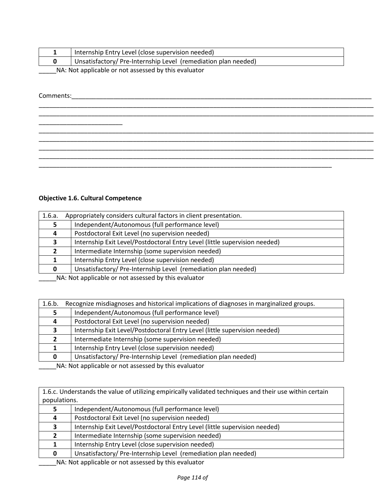|                                                     | Internship Entry Level (close supervision needed)              |  |  |  |  |
|-----------------------------------------------------|----------------------------------------------------------------|--|--|--|--|
|                                                     | Unsatisfactory/ Pre-Internship Level (remediation plan needed) |  |  |  |  |
| NA Not applicable or not accorded by this qualuator |                                                                |  |  |  |  |

\_\_\_\_\_\_\_\_\_\_\_\_\_\_\_\_\_\_\_\_\_\_\_\_\_\_\_\_\_\_\_\_\_\_\_\_\_\_\_\_\_\_\_\_\_\_\_\_\_\_\_\_\_\_\_\_\_\_\_\_\_\_\_\_\_\_\_\_\_\_\_\_\_\_\_\_\_\_\_\_\_\_\_\_\_\_\_\_\_\_\_\_\_\_\_\_ \_\_\_\_\_\_\_\_\_\_\_\_\_\_\_\_\_\_\_\_\_\_\_\_\_\_\_\_\_\_\_\_\_\_\_\_\_\_\_\_\_\_\_\_\_\_\_\_\_\_\_\_\_\_\_\_\_\_\_\_\_\_\_\_\_\_\_\_\_\_\_\_\_\_\_\_\_\_\_\_\_\_\_\_\_\_\_\_\_\_\_\_\_\_\_\_

\_\_\_\_\_\_\_\_\_\_\_\_\_\_\_\_\_\_\_\_\_\_\_\_\_\_\_\_\_\_\_\_\_\_\_\_\_\_\_\_\_\_\_\_\_\_\_\_\_\_\_\_\_\_\_\_\_\_\_\_\_\_\_\_\_\_\_\_\_\_\_\_\_\_\_\_\_\_\_\_\_\_\_\_\_\_\_\_\_\_\_\_\_\_\_\_ \_\_\_\_\_\_\_\_\_\_\_\_\_\_\_\_\_\_\_\_\_\_\_\_\_\_\_\_\_\_\_\_\_\_\_\_\_\_\_\_\_\_\_\_\_\_\_\_\_\_\_\_\_\_\_\_\_\_\_\_\_\_\_\_\_\_\_\_\_\_\_\_\_\_\_\_\_\_\_\_\_\_\_\_\_\_\_\_\_\_\_\_\_\_\_\_ \_\_\_\_\_\_\_\_\_\_\_\_\_\_\_\_\_\_\_\_\_\_\_\_\_\_\_\_\_\_\_\_\_\_\_\_\_\_\_\_\_\_\_\_\_\_\_\_\_\_\_\_\_\_\_\_\_\_\_\_\_\_\_\_\_\_\_\_\_\_\_\_\_\_\_\_\_\_\_\_\_\_\_\_\_\_\_\_\_\_\_\_\_\_\_\_ \_\_\_\_\_\_\_\_\_\_\_\_\_\_\_\_\_\_\_\_\_\_\_\_\_\_\_\_\_\_\_\_\_\_\_\_\_\_\_\_\_\_\_\_\_\_\_\_\_\_\_\_\_\_\_\_\_\_\_\_\_\_\_\_\_\_\_\_\_\_\_\_\_\_\_\_\_\_\_\_\_\_\_\_\_\_\_\_\_\_\_\_\_\_\_\_

\_\_\_\_\_NA: Not applicable or not assessed by this evaluator

## Comments:\_\_\_\_\_\_\_\_\_\_\_\_\_\_\_\_\_\_\_\_\_\_\_\_\_\_\_\_\_\_\_\_\_\_\_\_\_\_\_\_\_\_\_\_\_\_\_\_\_\_\_\_\_\_\_\_\_\_\_\_\_\_\_\_\_\_\_\_\_\_\_\_\_\_\_\_\_\_\_\_\_\_\_\_\_\_

**Objective 1.6. Cultural Competence**

\_\_\_\_\_\_\_\_\_\_\_\_\_\_\_\_\_\_\_\_\_\_\_\_

| Appropriately considers cultural factors in client presentation.<br>1.6.a. |  |  |  |  |
|----------------------------------------------------------------------------|--|--|--|--|
| Independent/Autonomous (full performance level)                            |  |  |  |  |
| Postdoctoral Exit Level (no supervision needed)                            |  |  |  |  |
| Internship Exit Level/Postdoctoral Entry Level (little supervision needed) |  |  |  |  |
| Intermediate Internship (some supervision needed)                          |  |  |  |  |
| Internship Entry Level (close supervision needed)                          |  |  |  |  |
| Unsatisfactory/Pre-Internship Level (remediation plan needed)              |  |  |  |  |
|                                                                            |  |  |  |  |

\_\_\_\_\_\_\_\_\_\_\_\_\_\_\_\_\_\_\_\_\_\_\_\_\_\_\_\_\_\_\_\_\_\_\_\_\_\_\_\_\_\_\_\_\_\_\_\_\_\_\_\_\_\_\_\_\_\_\_\_\_\_\_\_\_\_\_\_\_\_\_\_\_\_\_\_\_\_\_\_\_\_\_\_

\_\_\_\_\_NA: Not applicable or not assessed by this evaluator

| 1.6.b. | Recognize misdiagnoses and historical implications of diagnoses in marginalized groups. |  |  |  |  |
|--------|-----------------------------------------------------------------------------------------|--|--|--|--|
|        | Independent/Autonomous (full performance level)                                         |  |  |  |  |
| 4      | Postdoctoral Exit Level (no supervision needed)                                         |  |  |  |  |
|        | Internship Exit Level/Postdoctoral Entry Level (little supervision needed)              |  |  |  |  |
| 2      | Intermediate Internship (some supervision needed)                                       |  |  |  |  |
|        | Internship Entry Level (close supervision needed)                                       |  |  |  |  |
|        | Unsatisfactory/Pre-Internship Level (remediation plan needed)                           |  |  |  |  |

\_\_\_\_\_NA: Not applicable or not assessed by this evaluator

1.6.c. Understands the value of utilizing empirically validated techniques and their use within certain populations.

|                                                                                                                                                                                                                                  | Independent/Autonomous (full performance level)                            |  |  |  |
|----------------------------------------------------------------------------------------------------------------------------------------------------------------------------------------------------------------------------------|----------------------------------------------------------------------------|--|--|--|
| 4                                                                                                                                                                                                                                | Postdoctoral Exit Level (no supervision needed)                            |  |  |  |
|                                                                                                                                                                                                                                  | Internship Exit Level/Postdoctoral Entry Level (little supervision needed) |  |  |  |
|                                                                                                                                                                                                                                  | Intermediate Internship (some supervision needed)                          |  |  |  |
|                                                                                                                                                                                                                                  | Internship Entry Level (close supervision needed)                          |  |  |  |
|                                                                                                                                                                                                                                  | Unsatisfactory/Pre-Internship Level (remediation plan needed)              |  |  |  |
| $\frac{1}{2}$ . The set of the set of the set of the set of the set of the set of the set of the set of the set of the set of the set of the set of the set of the set of the set of the set of the set of the set of the set of |                                                                            |  |  |  |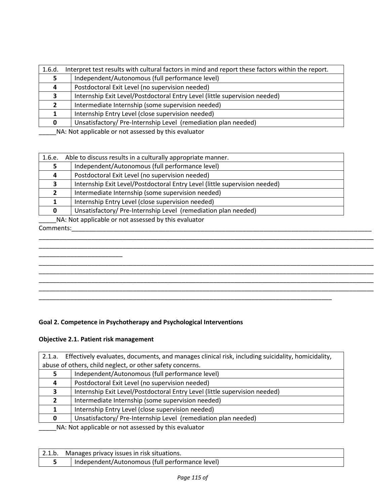| 1.6.d. | Interpret test results with cultural factors in mind and report these factors within the report. |  |  |  |  |  |
|--------|--------------------------------------------------------------------------------------------------|--|--|--|--|--|
|        | Independent/Autonomous (full performance level)                                                  |  |  |  |  |  |
|        | Postdoctoral Exit Level (no supervision needed)                                                  |  |  |  |  |  |
| ,      | Internship Exit Level/Postdoctoral Entry Level (little supervision needed)                       |  |  |  |  |  |
|        | Intermediate Internship (some supervision needed)                                                |  |  |  |  |  |
|        | Internship Entry Level (close supervision needed)                                                |  |  |  |  |  |
|        | Unsatisfactory/ Pre-Internship Level (remediation plan needed)                                   |  |  |  |  |  |

| 1.6.e. | Able to discuss results in a culturally appropriate manner.                |  |  |  |  |
|--------|----------------------------------------------------------------------------|--|--|--|--|
|        | Independent/Autonomous (full performance level)                            |  |  |  |  |
| 4      | Postdoctoral Exit Level (no supervision needed)                            |  |  |  |  |
|        | Internship Exit Level/Postdoctoral Entry Level (little supervision needed) |  |  |  |  |
|        | Intermediate Internship (some supervision needed)                          |  |  |  |  |
|        | Internship Entry Level (close supervision needed)                          |  |  |  |  |
| 0      | Unsatisfactory/Pre-Internship Level (remediation plan needed)              |  |  |  |  |
|        |                                                                            |  |  |  |  |

\_\_\_\_\_NA: Not applicable or not assessed by this evaluator

#### Comments:\_\_\_\_\_\_\_\_\_\_\_\_\_\_\_\_\_\_\_\_\_\_\_\_\_\_\_\_\_\_\_\_\_\_\_\_\_\_\_\_\_\_\_\_\_\_\_\_\_\_\_\_\_\_\_\_\_\_\_\_\_\_\_\_\_\_\_\_\_\_\_\_\_\_\_\_\_\_\_\_\_\_\_\_\_\_

\_\_\_\_\_\_\_\_\_\_\_\_\_\_\_\_\_\_\_\_\_\_\_\_\_\_\_\_\_\_\_\_\_\_\_\_\_\_\_\_\_\_\_\_\_\_\_\_\_\_\_\_\_\_\_\_\_\_\_\_\_\_\_\_\_\_\_\_\_\_\_\_\_\_\_\_\_\_\_\_\_\_\_\_\_\_\_\_\_\_\_\_\_\_\_\_

## **Goal 2. Competence in Psychotherapy and Psychological Interventions**

## **Objective 2.1. Patient risk management**

| Effectively evaluates, documents, and manages clinical risk, including suicidality, homicidality,<br>2.1.a. |                                                                            |  |  |
|-------------------------------------------------------------------------------------------------------------|----------------------------------------------------------------------------|--|--|
|                                                                                                             | abuse of others, child neglect, or other safety concerns.                  |  |  |
|                                                                                                             | Independent/Autonomous (full performance level)                            |  |  |
| 4                                                                                                           | Postdoctoral Exit Level (no supervision needed)                            |  |  |
| 3                                                                                                           | Internship Exit Level/Postdoctoral Entry Level (little supervision needed) |  |  |
|                                                                                                             | Intermediate Internship (some supervision needed)                          |  |  |
|                                                                                                             | Internship Entry Level (close supervision needed)                          |  |  |
| <sup>0</sup>                                                                                                | Unsatisfactory/ Pre-Internship Level (remediation plan needed)             |  |  |
| NA: Not applicable or not assessed by this evaluator                                                        |                                                                            |  |  |

2.1.b. Manages privacy issues in risk situations. **5** | Independent/Autonomous (full performance level)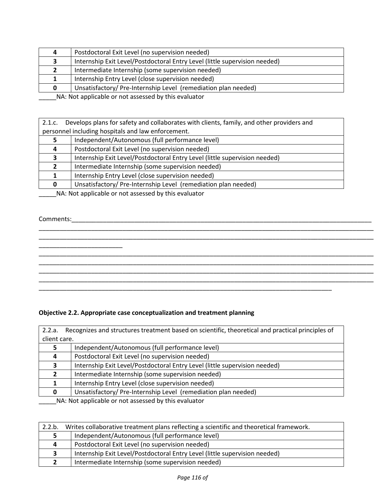| 4                                                                                                                    | Postdoctoral Exit Level (no supervision needed)                            |  |
|----------------------------------------------------------------------------------------------------------------------|----------------------------------------------------------------------------|--|
|                                                                                                                      | Internship Exit Level/Postdoctoral Entry Level (little supervision needed) |  |
|                                                                                                                      | Intermediate Internship (some supervision needed)                          |  |
|                                                                                                                      | Internship Entry Level (close supervision needed)                          |  |
|                                                                                                                      | Unsatisfactory/Pre-Internship Level (remediation plan needed)              |  |
| <b>ALA ALALA A CARA LEGA DE LA CARA DE LA CARA DE LA CARA DE LA CARA DE LA CARA DE LA CARA DE LA CARA DE LA CARA</b> |                                                                            |  |

| Develops plans for safety and collaborates with clients, family, and other providers and<br>2.1.c. |                                                                                                                                                                                                                                                                                       |  |
|----------------------------------------------------------------------------------------------------|---------------------------------------------------------------------------------------------------------------------------------------------------------------------------------------------------------------------------------------------------------------------------------------|--|
| personnel including hospitals and law enforcement.                                                 |                                                                                                                                                                                                                                                                                       |  |
|                                                                                                    | Independent/Autonomous (full performance level)                                                                                                                                                                                                                                       |  |
| 4                                                                                                  | Postdoctoral Exit Level (no supervision needed)                                                                                                                                                                                                                                       |  |
|                                                                                                    | Internship Exit Level/Postdoctoral Entry Level (little supervision needed)                                                                                                                                                                                                            |  |
|                                                                                                    | Intermediate Internship (some supervision needed)                                                                                                                                                                                                                                     |  |
|                                                                                                    | Internship Entry Level (close supervision needed)                                                                                                                                                                                                                                     |  |
| <sup>0</sup>                                                                                       | Unsatisfactory/Pre-Internship Level (remediation plan needed)                                                                                                                                                                                                                         |  |
|                                                                                                    | $\frac{1}{2}$ , and $\frac{1}{2}$ , and $\frac{1}{2}$ , and $\frac{1}{2}$ , and $\frac{1}{2}$ , and $\frac{1}{2}$ , and $\frac{1}{2}$ , and $\frac{1}{2}$ , and $\frac{1}{2}$ , and $\frac{1}{2}$ , and $\frac{1}{2}$ , and $\frac{1}{2}$ , and $\frac{1}{2}$ , and $\frac{1}{2}$ , a |  |

\_\_\_\_\_\_\_\_\_\_\_\_\_\_\_\_\_\_\_\_\_\_\_\_\_\_\_\_\_\_\_\_\_\_\_\_\_\_\_\_\_\_\_\_\_\_\_\_\_\_\_\_\_\_\_\_\_\_\_\_\_\_\_\_\_\_\_\_\_\_\_\_\_\_\_\_\_\_\_\_\_\_\_\_\_\_\_\_\_\_\_\_\_\_\_\_ \_\_\_\_\_\_\_\_\_\_\_\_\_\_\_\_\_\_\_\_\_\_\_\_\_\_\_\_\_\_\_\_\_\_\_\_\_\_\_\_\_\_\_\_\_\_\_\_\_\_\_\_\_\_\_\_\_\_\_\_\_\_\_\_\_\_\_\_\_\_\_\_\_\_\_\_\_\_\_\_\_\_\_\_\_\_\_\_\_\_\_\_\_\_\_\_

\_\_\_\_\_\_\_\_\_\_\_\_\_\_\_\_\_\_\_\_\_\_\_\_\_\_\_\_\_\_\_\_\_\_\_\_\_\_\_\_\_\_\_\_\_\_\_\_\_\_\_\_\_\_\_\_\_\_\_\_\_\_\_\_\_\_\_\_\_\_\_\_\_\_\_\_\_\_\_\_\_\_\_\_\_\_\_\_\_\_\_\_\_\_\_\_ \_\_\_\_\_\_\_\_\_\_\_\_\_\_\_\_\_\_\_\_\_\_\_\_\_\_\_\_\_\_\_\_\_\_\_\_\_\_\_\_\_\_\_\_\_\_\_\_\_\_\_\_\_\_\_\_\_\_\_\_\_\_\_\_\_\_\_\_\_\_\_\_\_\_\_\_\_\_\_\_\_\_\_\_\_\_\_\_\_\_\_\_\_\_\_\_ \_\_\_\_\_\_\_\_\_\_\_\_\_\_\_\_\_\_\_\_\_\_\_\_\_\_\_\_\_\_\_\_\_\_\_\_\_\_\_\_\_\_\_\_\_\_\_\_\_\_\_\_\_\_\_\_\_\_\_\_\_\_\_\_\_\_\_\_\_\_\_\_\_\_\_\_\_\_\_\_\_\_\_\_\_\_\_\_\_\_\_\_\_\_\_\_ \_\_\_\_\_\_\_\_\_\_\_\_\_\_\_\_\_\_\_\_\_\_\_\_\_\_\_\_\_\_\_\_\_\_\_\_\_\_\_\_\_\_\_\_\_\_\_\_\_\_\_\_\_\_\_\_\_\_\_\_\_\_\_\_\_\_\_\_\_\_\_\_\_\_\_\_\_\_\_\_\_\_\_\_\_\_\_\_\_\_\_\_\_\_\_\_

\_\_\_\_\_NA: Not applicable or not assessed by this evaluator

## Comments:\_\_\_\_\_\_\_\_\_\_\_\_\_\_\_\_\_\_\_\_\_\_\_\_\_\_\_\_\_\_\_\_\_\_\_\_\_\_\_\_\_\_\_\_\_\_\_\_\_\_\_\_\_\_\_\_\_\_\_\_\_\_\_\_\_\_\_\_\_\_\_\_\_\_\_\_\_\_\_\_\_\_\_\_\_\_

 $\frac{1}{2}$  ,  $\frac{1}{2}$  ,  $\frac{1}{2}$  ,  $\frac{1}{2}$  ,  $\frac{1}{2}$  ,  $\frac{1}{2}$  ,  $\frac{1}{2}$  ,  $\frac{1}{2}$  ,  $\frac{1}{2}$  ,  $\frac{1}{2}$  ,  $\frac{1}{2}$  ,  $\frac{1}{2}$  ,  $\frac{1}{2}$  ,  $\frac{1}{2}$  ,  $\frac{1}{2}$  ,  $\frac{1}{2}$  ,  $\frac{1}{2}$  ,  $\frac{1}{2}$  ,  $\frac{1$ 

## **Objective 2.2. Appropriate case conceptualization and treatment planning**

| Recognizes and structures treatment based on scientific, theoretical and practical principles of<br>2.2.a. |                                                                            |  |
|------------------------------------------------------------------------------------------------------------|----------------------------------------------------------------------------|--|
| client care.                                                                                               |                                                                            |  |
|                                                                                                            | Independent/Autonomous (full performance level)                            |  |
|                                                                                                            | Postdoctoral Exit Level (no supervision needed)                            |  |
|                                                                                                            | Internship Exit Level/Postdoctoral Entry Level (little supervision needed) |  |
| $\overline{2}$                                                                                             | Intermediate Internship (some supervision needed)                          |  |
|                                                                                                            | Internship Entry Level (close supervision needed)                          |  |
| 0                                                                                                          | Unsatisfactory/Pre-Internship Level (remediation plan needed)              |  |
| ALA : Alak a subtradela la superficienza del des klatolas de legales s                                     |                                                                            |  |

\_\_\_\_\_\_\_\_\_\_\_\_\_\_\_\_\_\_\_\_\_\_\_\_\_\_\_\_\_\_\_\_\_\_\_\_\_\_\_\_\_\_\_\_\_\_\_\_\_\_\_\_\_\_\_\_\_\_\_\_\_\_\_\_\_\_\_\_\_\_\_\_\_\_\_\_\_\_\_\_\_\_\_\_

| 2.2.b. | Writes collaborative treatment plans reflecting a scientific and theoretical framework. |  |
|--------|-----------------------------------------------------------------------------------------|--|
|        | Independent/Autonomous (full performance level)                                         |  |
| 4      | Postdoctoral Exit Level (no supervision needed)                                         |  |
| 3      | Internship Exit Level/Postdoctoral Entry Level (little supervision needed)              |  |
|        | Intermediate Internship (some supervision needed)                                       |  |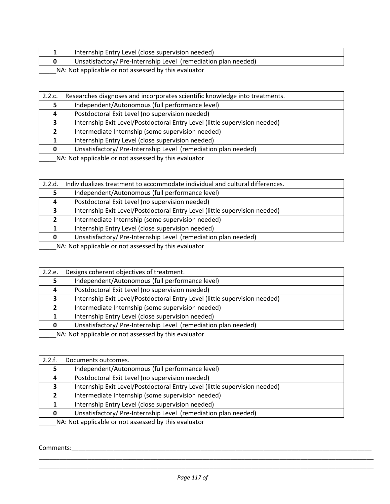|  | Internship Entry Level (close supervision needed)             |  |
|--|---------------------------------------------------------------|--|
|  | Unsatisfactory/Pre-Internship Level (remediation plan needed) |  |
|  |                                                               |  |

| 2.2.c.                                               | Researches diagnoses and incorporates scientific knowledge into treatments. |  |
|------------------------------------------------------|-----------------------------------------------------------------------------|--|
|                                                      | Independent/Autonomous (full performance level)                             |  |
|                                                      | Postdoctoral Exit Level (no supervision needed)                             |  |
| 3                                                    | Internship Exit Level/Postdoctoral Entry Level (little supervision needed)  |  |
|                                                      | Intermediate Internship (some supervision needed)                           |  |
|                                                      | Internship Entry Level (close supervision needed)                           |  |
|                                                      | Unsatisfactory/Pre-Internship Level (remediation plan needed)               |  |
| NA blot applicable or not accorsed by this ovaluator |                                                                             |  |

\_\_\_\_\_NA: Not applicable or not assessed by this evaluator

| Individualizes treatment to accommodate individual and cultural differences.<br>2.2.d.                         |                                                                            |  |
|----------------------------------------------------------------------------------------------------------------|----------------------------------------------------------------------------|--|
|                                                                                                                | Independent/Autonomous (full performance level)                            |  |
| 4                                                                                                              | Postdoctoral Exit Level (no supervision needed)                            |  |
|                                                                                                                | Internship Exit Level/Postdoctoral Entry Level (little supervision needed) |  |
|                                                                                                                | Intermediate Internship (some supervision needed)                          |  |
|                                                                                                                | Internship Entry Level (close supervision needed)                          |  |
|                                                                                                                | Unsatisfactory/Pre-Internship Level (remediation plan needed)              |  |
| are are the first that the state of the state of the state of the state of the state of the state of the state |                                                                            |  |

\_\_\_\_\_NA: Not applicable or not assessed by this evaluator

| Designs coherent objectives of treatment.<br>2.2.e.                        |  |
|----------------------------------------------------------------------------|--|
| Independent/Autonomous (full performance level)                            |  |
| Postdoctoral Exit Level (no supervision needed)                            |  |
| Internship Exit Level/Postdoctoral Entry Level (little supervision needed) |  |
| Intermediate Internship (some supervision needed)                          |  |
| Internship Entry Level (close supervision needed)                          |  |
| Unsatisfactory/Pre-Internship Level (remediation plan needed)<br>0         |  |
|                                                                            |  |

\_\_\_\_\_NA: Not applicable or not assessed by this evaluator

| 2.2.f.                                               | Documents outcomes.                                                        |  |
|------------------------------------------------------|----------------------------------------------------------------------------|--|
|                                                      | Independent/Autonomous (full performance level)                            |  |
| 4                                                    | Postdoctoral Exit Level (no supervision needed)                            |  |
|                                                      | Internship Exit Level/Postdoctoral Entry Level (little supervision needed) |  |
|                                                      | Intermediate Internship (some supervision needed)                          |  |
|                                                      | Internship Entry Level (close supervision needed)                          |  |
|                                                      | Unsatisfactory/Pre-Internship Level (remediation plan needed)              |  |
| NA: Not applicable or not assessed by this evaluator |                                                                            |  |

Comments:\_\_\_\_\_\_\_\_\_\_\_\_\_\_\_\_\_\_\_\_\_\_\_\_\_\_\_\_\_\_\_\_\_\_\_\_\_\_\_\_\_\_\_\_\_\_\_\_\_\_\_\_\_\_\_\_\_\_\_\_\_\_\_\_\_\_\_\_\_\_\_\_\_\_\_\_\_\_\_\_\_\_\_\_\_\_

\_\_\_\_\_\_\_\_\_\_\_\_\_\_\_\_\_\_\_\_\_\_\_\_\_\_\_\_\_\_\_\_\_\_\_\_\_\_\_\_\_\_\_\_\_\_\_\_\_\_\_\_\_\_\_\_\_\_\_\_\_\_\_\_\_\_\_\_\_\_\_\_\_\_\_\_\_\_\_\_\_\_\_\_\_\_\_\_\_\_\_\_\_\_\_\_ \_\_\_\_\_\_\_\_\_\_\_\_\_\_\_\_\_\_\_\_\_\_\_\_\_\_\_\_\_\_\_\_\_\_\_\_\_\_\_\_\_\_\_\_\_\_\_\_\_\_\_\_\_\_\_\_\_\_\_\_\_\_\_\_\_\_\_\_\_\_\_\_\_\_\_\_\_\_\_\_\_\_\_\_\_\_\_\_\_\_\_\_\_\_\_\_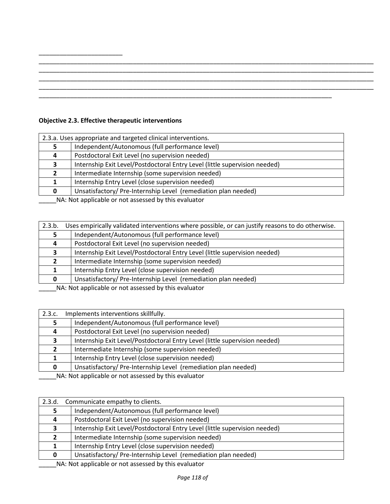| ____________ |  |  |
|--------------|--|--|
|              |  |  |
|              |  |  |

## **Objective 2.3. Effective therapeutic interventions**

\_\_\_\_\_\_\_\_\_\_\_\_\_\_\_\_\_\_\_\_\_\_\_\_

| 2.3.a. Uses appropriate and targeted clinical interventions.                                                         |                                                                            |  |
|----------------------------------------------------------------------------------------------------------------------|----------------------------------------------------------------------------|--|
|                                                                                                                      | Independent/Autonomous (full performance level)                            |  |
|                                                                                                                      | Postdoctoral Exit Level (no supervision needed)                            |  |
|                                                                                                                      | Internship Exit Level/Postdoctoral Entry Level (little supervision needed) |  |
|                                                                                                                      | Intermediate Internship (some supervision needed)                          |  |
|                                                                                                                      | Internship Entry Level (close supervision needed)                          |  |
| 0                                                                                                                    | Unsatisfactory/Pre-Internship Level (remediation plan needed)              |  |
| <b>ALA ALA SERVITA DELLE SERVITA DEL SERVITA DEL PERSONAL DEL SERVITA DEL SERVITA DEL SERVITA DEL SERVITA DEL SE</b> |                                                                            |  |

\_\_\_\_\_NA: Not applicable or not assessed by this evaluator

| 2.3.b.                                               | Uses empirically validated interventions where possible, or can justify reasons to do otherwise. |
|------------------------------------------------------|--------------------------------------------------------------------------------------------------|
|                                                      | Independent/Autonomous (full performance level)                                                  |
| 4                                                    | Postdoctoral Exit Level (no supervision needed)                                                  |
| 3                                                    | Internship Exit Level/Postdoctoral Entry Level (little supervision needed)                       |
|                                                      | Intermediate Internship (some supervision needed)                                                |
|                                                      | Internship Entry Level (close supervision needed)                                                |
| 0                                                    | Unsatisfactory/Pre-Internship Level (remediation plan needed)                                    |
| NA blot applicable or not accossed by this ovaluator |                                                                                                  |

\_\_\_\_\_NA: Not applicable or not assessed by this evaluator

| 2.3.c.       | Implements interventions skillfully.                                       |  |
|--------------|----------------------------------------------------------------------------|--|
|              | Independent/Autonomous (full performance level)                            |  |
| 4            | Postdoctoral Exit Level (no supervision needed)                            |  |
|              | Internship Exit Level/Postdoctoral Entry Level (little supervision needed) |  |
| $\mathbf{z}$ | Intermediate Internship (some supervision needed)                          |  |
|              | Internship Entry Level (close supervision needed)                          |  |
| 0            | Unsatisfactory/Pre-Internship Level (remediation plan needed)              |  |
|              | NA . Not applicable or not assessed but this ovaluator                     |  |

\_\_\_\_\_NA: Not applicable or not assessed by this evaluator

| 2.3.d. | Communicate empathy to clients.                                                                                                                                                                                                      |  |
|--------|--------------------------------------------------------------------------------------------------------------------------------------------------------------------------------------------------------------------------------------|--|
|        | Independent/Autonomous (full performance level)                                                                                                                                                                                      |  |
| 4      | Postdoctoral Exit Level (no supervision needed)                                                                                                                                                                                      |  |
|        | Internship Exit Level/Postdoctoral Entry Level (little supervision needed)                                                                                                                                                           |  |
|        | Intermediate Internship (some supervision needed)                                                                                                                                                                                    |  |
|        | Internship Entry Level (close supervision needed)                                                                                                                                                                                    |  |
| 0      | Unsatisfactory/Pre-Internship Level (remediation plan needed)                                                                                                                                                                        |  |
|        | $\mathbf{A}$ and $\mathbf{A}$ are the set of the set of the set of the set of the set of the set of the set of the set of the set of the set of the set of the set of the set of the set of the set of the set of the set of the set |  |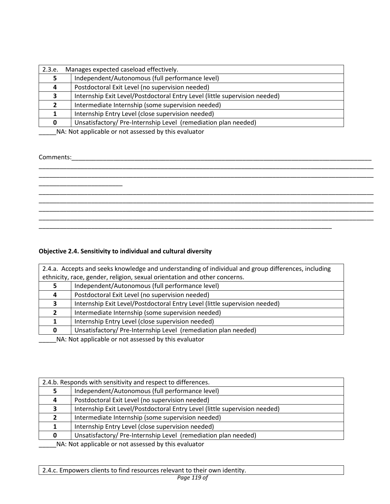| 2.3.e. | Manages expected caseload effectively.                                                                                                                                                                                               |  |
|--------|--------------------------------------------------------------------------------------------------------------------------------------------------------------------------------------------------------------------------------------|--|
|        | Independent/Autonomous (full performance level)                                                                                                                                                                                      |  |
| 4      | Postdoctoral Exit Level (no supervision needed)                                                                                                                                                                                      |  |
|        | Internship Exit Level/Postdoctoral Entry Level (little supervision needed)                                                                                                                                                           |  |
|        | Intermediate Internship (some supervision needed)                                                                                                                                                                                    |  |
|        | Internship Entry Level (close supervision needed)                                                                                                                                                                                    |  |
| 0      | Unsatisfactory/Pre-Internship Level (remediation plan needed)                                                                                                                                                                        |  |
|        | $\mathbf{A}$ and $\mathbf{A}$ are the set of the set of the set of the set of the set of the set of the set of the set of the set of the set of the set of the set of the set of the set of the set of the set of the set of the set |  |

#### Comments:\_\_\_\_\_\_\_\_\_\_\_\_\_\_\_\_\_\_\_\_\_\_\_\_\_\_\_\_\_\_\_\_\_\_\_\_\_\_\_\_\_\_\_\_\_\_\_\_\_\_\_\_\_\_\_\_\_\_\_\_\_\_\_\_\_\_\_\_\_\_\_\_\_\_\_\_\_\_\_\_\_\_\_\_\_\_

## \_\_\_\_\_\_\_\_\_\_\_\_\_\_\_\_\_\_\_\_\_\_\_\_\_\_\_\_\_\_\_\_\_\_\_\_\_\_\_\_\_\_\_\_\_\_\_\_\_\_\_\_\_\_\_\_\_\_\_\_\_\_\_\_\_\_\_\_\_\_\_\_\_\_\_\_\_\_\_\_\_\_\_\_\_\_\_\_\_\_\_\_\_\_\_\_ \_\_\_\_\_\_\_\_\_\_\_\_\_\_\_\_\_\_\_\_\_\_\_\_\_\_\_\_\_\_\_\_\_\_\_\_\_\_\_\_\_\_\_\_\_\_\_\_\_\_\_\_\_\_\_\_\_\_\_\_\_\_\_\_\_\_\_\_\_\_\_\_\_\_\_\_\_\_\_\_\_\_\_\_\_\_\_\_\_\_\_\_\_\_\_\_ \_\_\_\_\_\_\_\_\_\_\_\_\_\_\_\_\_\_\_\_\_\_\_\_ \_\_\_\_\_\_\_\_\_\_\_\_\_\_\_\_\_\_\_\_\_\_\_\_\_\_\_\_\_\_\_\_\_\_\_\_\_\_\_\_\_\_\_\_\_\_\_\_\_\_\_\_\_\_\_\_\_\_\_\_\_\_\_\_\_\_\_\_\_\_\_\_\_\_\_\_\_\_\_\_\_\_\_\_\_\_\_\_\_\_\_\_\_\_\_\_ \_\_\_\_\_\_\_\_\_\_\_\_\_\_\_\_\_\_\_\_\_\_\_\_\_\_\_\_\_\_\_\_\_\_\_\_\_\_\_\_\_\_\_\_\_\_\_\_\_\_\_\_\_\_\_\_\_\_\_\_\_\_\_\_\_\_\_\_\_\_\_\_\_\_\_\_\_\_\_\_\_\_\_\_\_\_\_\_\_\_\_\_\_\_\_\_ \_\_\_\_\_\_\_\_\_\_\_\_\_\_\_\_\_\_\_\_\_\_\_\_\_\_\_\_\_\_\_\_\_\_\_\_\_\_\_\_\_\_\_\_\_\_\_\_\_\_\_\_\_\_\_\_\_\_\_\_\_\_\_\_\_\_\_\_\_\_\_\_\_\_\_\_\_\_\_\_\_\_\_\_\_\_\_\_\_\_\_\_\_\_\_\_ \_\_\_\_\_\_\_\_\_\_\_\_\_\_\_\_\_\_\_\_\_\_\_\_\_\_\_\_\_\_\_\_\_\_\_\_\_\_\_\_\_\_\_\_\_\_\_\_\_\_\_\_\_\_\_\_\_\_\_\_\_\_\_\_\_\_\_\_\_\_\_\_\_\_\_\_\_\_\_\_\_\_\_\_\_\_\_\_\_\_\_\_\_\_\_\_ \_\_\_\_\_\_\_\_\_\_\_\_\_\_\_\_\_\_\_\_\_\_\_\_\_\_\_\_\_\_\_\_\_\_\_\_\_\_\_\_\_\_\_\_\_\_\_\_\_\_\_\_\_\_\_\_\_\_\_\_\_\_\_\_\_\_\_\_\_\_\_\_\_\_\_\_\_\_\_\_\_\_\_\_

## **Objective 2.4. Sensitivity to individual and cultural diversity**

| 2.4.a. Accepts and seeks knowledge and understanding of individual and group differences, including |                                                                            |
|-----------------------------------------------------------------------------------------------------|----------------------------------------------------------------------------|
| ethnicity, race, gender, religion, sexual orientation and other concerns.                           |                                                                            |
|                                                                                                     | Independent/Autonomous (full performance level)                            |
| 4                                                                                                   | Postdoctoral Exit Level (no supervision needed)                            |
|                                                                                                     | Internship Exit Level/Postdoctoral Entry Level (little supervision needed) |
| $\mathbf{z}$                                                                                        | Intermediate Internship (some supervision needed)                          |
|                                                                                                     | Internship Entry Level (close supervision needed)                          |
| 0                                                                                                   | Unsatisfactory/Pre-Internship Level (remediation plan needed)              |
| NA: Not applicable or not assessed by this evaluator                                                |                                                                            |

2.4.b. Responds with sensitivity and respect to differences. Independent/Autonomous (full performance level) Postdoctoral Exit Level (no supervision needed) Internship Exit Level/Postdoctoral Entry Level (little supervision needed) Intermediate Internship (some supervision needed) Internship Entry Level (close supervision needed) Unsatisfactory/ Pre-Internship Level (remediation plan needed)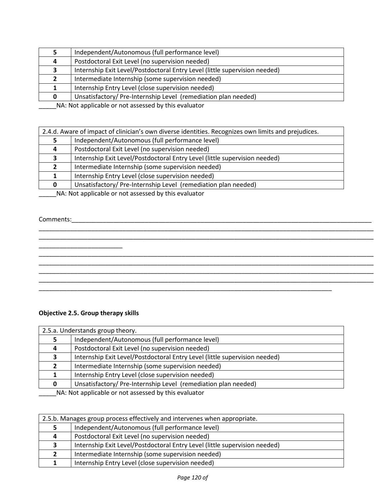|   | Independent/Autonomous (full performance level)                                                                               |
|---|-------------------------------------------------------------------------------------------------------------------------------|
| 4 | Postdoctoral Exit Level (no supervision needed)                                                                               |
|   | Internship Exit Level/Postdoctoral Entry Level (little supervision needed)                                                    |
|   | Intermediate Internship (some supervision needed)                                                                             |
|   | Internship Entry Level (close supervision needed)                                                                             |
|   | Unsatisfactory/Pre-Internship Level (remediation plan needed)                                                                 |
|   | <b>ALA</b> ALABA and <b>Product and Contract and Contract Product</b> and Contract and Contract and Contract and Contract and |

|   | 2.4.d. Aware of impact of clinician's own diverse identities. Recognizes own limits and prejudices.                   |  |
|---|-----------------------------------------------------------------------------------------------------------------------|--|
|   | Independent/Autonomous (full performance level)                                                                       |  |
| 4 | Postdoctoral Exit Level (no supervision needed)                                                                       |  |
|   | Internship Exit Level/Postdoctoral Entry Level (little supervision needed)                                            |  |
|   | Intermediate Internship (some supervision needed)                                                                     |  |
|   | Internship Entry Level (close supervision needed)                                                                     |  |
| n | Unsatisfactory/Pre-Internship Level (remediation plan needed)                                                         |  |
|   | <b>ALA ALA DE CONFEDERE CONTENTA DE LA CONTENTA DE LA CONTENTA DE LA CONTENTA DE LA CONTENTA DE LA CONTENTA DE LA</b> |  |

\_\_\_\_\_\_\_\_\_\_\_\_\_\_\_\_\_\_\_\_\_\_\_\_\_\_\_\_\_\_\_\_\_\_\_\_\_\_\_\_\_\_\_\_\_\_\_\_\_\_\_\_\_\_\_\_\_\_\_\_\_\_\_\_\_\_\_\_\_\_\_\_\_\_\_\_\_\_\_\_\_\_\_\_\_\_\_\_\_\_\_\_\_\_\_\_

\_\_\_\_\_\_\_\_\_\_\_\_\_\_\_\_\_\_\_\_\_\_\_\_\_\_\_\_\_\_\_\_\_\_\_\_\_\_\_\_\_\_\_\_\_\_\_\_\_\_\_\_\_\_\_\_\_\_\_\_\_\_\_\_\_\_\_\_\_\_\_\_\_\_\_\_\_\_\_\_\_\_\_\_\_\_\_\_\_\_\_\_\_\_\_\_ \_\_\_\_\_\_\_\_\_\_\_\_\_\_\_\_\_\_\_\_\_\_\_\_\_\_\_\_\_\_\_\_\_\_\_\_\_\_\_\_\_\_\_\_\_\_\_\_\_\_\_\_\_\_\_\_\_\_\_\_\_\_\_\_\_\_\_\_\_\_\_\_\_\_\_\_\_\_\_\_\_\_\_\_\_\_\_\_\_\_\_\_\_\_\_\_ \_\_\_\_\_\_\_\_\_\_\_\_\_\_\_\_\_\_\_\_\_\_\_\_\_\_\_\_\_\_\_\_\_\_\_\_\_\_\_\_\_\_\_\_\_\_\_\_\_\_\_\_\_\_\_\_\_\_\_\_\_\_\_\_\_\_\_\_\_\_\_\_\_\_\_\_\_\_\_\_\_\_\_\_\_\_\_\_\_\_\_\_\_\_\_\_ \_\_\_\_\_\_\_\_\_\_\_\_\_\_\_\_\_\_\_\_\_\_\_\_\_\_\_\_\_\_\_\_\_\_\_\_\_\_\_\_\_\_\_\_\_\_\_\_\_\_\_\_\_\_\_\_\_\_\_\_\_\_\_\_\_\_\_\_\_\_\_\_\_\_\_\_\_\_\_\_\_\_\_\_\_\_\_\_\_\_\_\_\_\_\_\_

\_\_\_\_\_NA: Not applicable or not assessed by this evaluator

#### Comments:\_\_\_\_\_\_\_\_\_\_\_\_\_\_\_\_\_\_\_\_\_\_\_\_\_\_\_\_\_\_\_\_\_\_\_\_\_\_\_\_\_\_\_\_\_\_\_\_\_\_\_\_\_\_\_\_\_\_\_\_\_\_\_\_\_\_\_\_\_\_\_\_\_\_\_\_\_\_\_\_\_\_\_\_\_\_

## **Objective 2.5. Group therapy skills**

\_\_\_\_\_\_\_\_\_\_\_\_\_\_\_\_\_\_\_\_\_\_\_\_

|                                                                                                                                                                                                                                        | 2.5.a. Understands group theory.                                           |  |
|----------------------------------------------------------------------------------------------------------------------------------------------------------------------------------------------------------------------------------------|----------------------------------------------------------------------------|--|
|                                                                                                                                                                                                                                        | Independent/Autonomous (full performance level)                            |  |
| 4                                                                                                                                                                                                                                      | Postdoctoral Exit Level (no supervision needed)                            |  |
|                                                                                                                                                                                                                                        | Internship Exit Level/Postdoctoral Entry Level (little supervision needed) |  |
|                                                                                                                                                                                                                                        | Intermediate Internship (some supervision needed)                          |  |
|                                                                                                                                                                                                                                        | Internship Entry Level (close supervision needed)                          |  |
| 0                                                                                                                                                                                                                                      | Unsatisfactory/Pre-Internship Level (remediation plan needed)              |  |
| <b>ALA</b> ALCOHOL: $\mathbf{H}$ . The contract of the contract of the contract of the contract of the contract of the contract of the contract of the contract of the contract of the contract of the contract of the contract of the |                                                                            |  |

\_\_\_\_\_\_\_\_\_\_\_\_\_\_\_\_\_\_\_\_\_\_\_\_\_\_\_\_\_\_\_\_\_\_\_\_\_\_\_\_\_\_\_\_\_\_\_\_\_\_\_\_\_\_\_\_\_\_\_\_\_\_\_\_\_\_\_\_\_\_\_\_\_\_\_\_\_\_\_\_\_\_\_\_

| 2.5.b. Manages group process effectively and intervenes when appropriate. |                                                                            |
|---------------------------------------------------------------------------|----------------------------------------------------------------------------|
|                                                                           | Independent/Autonomous (full performance level)                            |
| 4                                                                         | Postdoctoral Exit Level (no supervision needed)                            |
|                                                                           | Internship Exit Level/Postdoctoral Entry Level (little supervision needed) |
|                                                                           | Intermediate Internship (some supervision needed)                          |
|                                                                           | Internship Entry Level (close supervision needed)                          |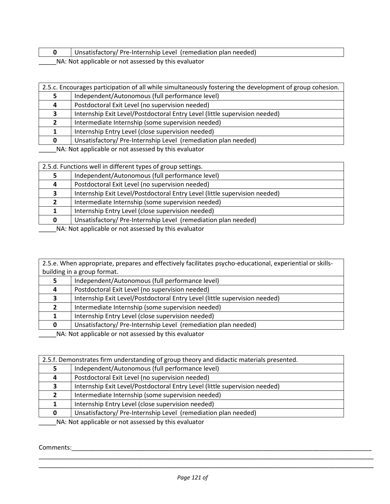| Unsatisfactory/ Pre-Internship Level (remediation plan needed) |
|----------------------------------------------------------------|
| NIA . Niat a palical da quest accesso divitir qualistar        |

|                                                       | 2.5.c. Encourages participation of all while simultaneously fostering the development of group cohesion. |  |
|-------------------------------------------------------|----------------------------------------------------------------------------------------------------------|--|
|                                                       | Independent/Autonomous (full performance level)                                                          |  |
|                                                       | Postdoctoral Exit Level (no supervision needed)                                                          |  |
|                                                       | Internship Exit Level/Postdoctoral Entry Level (little supervision needed)                               |  |
|                                                       | Intermediate Internship (some supervision needed)                                                        |  |
|                                                       | Internship Entry Level (close supervision needed)                                                        |  |
|                                                       | Unsatisfactory/Pre-Internship Level (remediation plan needed)                                            |  |
| NA . Not applicable or not accorded by this qualupter |                                                                                                          |  |

\_\_\_\_\_NA: Not applicable or not assessed by this evaluator

| 2.5.d. Functions well in different types of group settings. |                                                                            |
|-------------------------------------------------------------|----------------------------------------------------------------------------|
|                                                             | Independent/Autonomous (full performance level)                            |
|                                                             | Postdoctoral Exit Level (no supervision needed)                            |
|                                                             | Internship Exit Level/Postdoctoral Entry Level (little supervision needed) |
|                                                             | Intermediate Internship (some supervision needed)                          |
|                                                             | Internship Entry Level (close supervision needed)                          |
|                                                             | Unsatisfactory/Pre-Internship Level (remediation plan needed)              |

\_\_\_\_NA: Not applicable or not assessed by this evaluator

2.5.e. When appropriate, prepares and effectively facilitates psycho-educational, experiential or skillsbuilding in a group format.

|   | Independent/Autonomous (full performance level)                            |
|---|----------------------------------------------------------------------------|
| 4 | Postdoctoral Exit Level (no supervision needed)                            |
|   | Internship Exit Level/Postdoctoral Entry Level (little supervision needed) |
|   | Intermediate Internship (some supervision needed)                          |
|   | Internship Entry Level (close supervision needed)                          |
|   | Unsatisfactory/Pre-Internship Level (remediation plan needed)              |

NA: Not applicable or not assessed by this evaluator

| 2.5.f. Demonstrates firm understanding of group theory and didactic materials presented. |                                                                            |  |
|------------------------------------------------------------------------------------------|----------------------------------------------------------------------------|--|
|                                                                                          | Independent/Autonomous (full performance level)                            |  |
| 4                                                                                        | Postdoctoral Exit Level (no supervision needed)                            |  |
| ,                                                                                        | Internship Exit Level/Postdoctoral Entry Level (little supervision needed) |  |
| $\mathbf{2}$                                                                             | Intermediate Internship (some supervision needed)                          |  |
|                                                                                          | Internship Entry Level (close supervision needed)                          |  |
|                                                                                          | Unsatisfactory/Pre-Internship Level (remediation plan needed)              |  |
| NA: Not applicable or not assessed by this evaluator                                     |                                                                            |  |

Comments:

\_\_\_\_\_\_\_\_\_\_\_\_\_\_\_\_\_\_\_\_\_\_\_\_\_\_\_\_\_\_\_\_\_\_\_\_\_\_\_\_\_\_\_\_\_\_\_\_\_\_\_\_\_\_\_\_\_\_\_\_\_\_\_\_\_\_\_\_\_\_\_\_\_\_\_\_\_\_\_\_\_\_\_\_\_\_\_\_\_\_\_\_\_\_\_\_ \_\_\_\_\_\_\_\_\_\_\_\_\_\_\_\_\_\_\_\_\_\_\_\_\_\_\_\_\_\_\_\_\_\_\_\_\_\_\_\_\_\_\_\_\_\_\_\_\_\_\_\_\_\_\_\_\_\_\_\_\_\_\_\_\_\_\_\_\_\_\_\_\_\_\_\_\_\_\_\_\_\_\_\_\_\_\_\_\_\_\_\_\_\_\_\_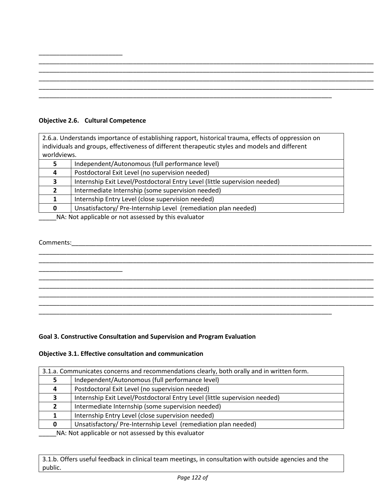## **Objective 2.6. Cultural Competence**

\_\_\_\_\_\_\_\_\_\_\_\_\_\_\_\_\_\_\_\_\_\_\_\_

2.6.a. Understands importance of establishing rapport, historical trauma, effects of oppression on individuals and groups, effectiveness of different therapeutic styles and models and different worldviews.

|   | Independent/Autonomous (full performance level)                            |
|---|----------------------------------------------------------------------------|
| 4 | Postdoctoral Exit Level (no supervision needed)                            |
|   | Internship Exit Level/Postdoctoral Entry Level (little supervision needed) |
|   | Intermediate Internship (some supervision needed)                          |
|   | Internship Entry Level (close supervision needed)                          |
| O | Unsatisfactory/Pre-Internship Level (remediation plan needed)              |

\_\_\_\_\_NA: Not applicable or not assessed by this evaluator

## Comments:\_\_\_\_\_\_\_\_\_\_\_\_\_\_\_\_\_\_\_\_\_\_\_\_\_\_\_\_\_\_\_\_\_\_\_\_\_\_\_\_\_\_\_\_\_\_\_\_\_\_\_\_\_\_\_\_\_\_\_\_\_\_\_\_\_\_\_\_\_\_\_\_\_\_\_\_\_\_\_\_\_\_\_\_\_\_ \_\_\_\_\_\_\_\_\_\_\_\_\_\_\_\_\_\_\_\_\_\_\_\_\_\_\_\_\_\_\_\_\_\_\_\_\_\_\_\_\_\_\_\_\_\_\_\_\_\_\_\_\_\_\_\_\_\_\_\_\_\_\_\_\_\_\_\_\_\_\_\_\_\_\_\_\_\_\_\_\_\_\_\_\_\_\_\_\_\_\_\_\_\_\_\_ \_\_\_\_\_\_\_\_\_\_\_\_\_\_\_\_\_\_\_\_\_\_\_\_\_\_\_\_\_\_\_\_\_\_\_\_\_\_\_\_\_\_\_\_\_\_\_\_\_\_\_\_\_\_\_\_\_\_\_\_\_\_\_\_\_\_\_\_\_\_\_\_\_\_\_\_\_\_\_\_\_\_\_\_\_\_\_\_\_\_\_\_\_\_\_\_ \_\_\_\_\_\_\_\_\_\_\_\_\_\_\_\_\_\_\_\_\_\_\_\_ \_\_\_\_\_\_\_\_\_\_\_\_\_\_\_\_\_\_\_\_\_\_\_\_\_\_\_\_\_\_\_\_\_\_\_\_\_\_\_\_\_\_\_\_\_\_\_\_\_\_\_\_\_\_\_\_\_\_\_\_\_\_\_\_\_\_\_\_\_\_\_\_\_\_\_\_\_\_\_\_\_\_\_\_\_\_\_\_\_\_\_\_\_\_\_\_ \_\_\_\_\_\_\_\_\_\_\_\_\_\_\_\_\_\_\_\_\_\_\_\_\_\_\_\_\_\_\_\_\_\_\_\_\_\_\_\_\_\_\_\_\_\_\_\_\_\_\_\_\_\_\_\_\_\_\_\_\_\_\_\_\_\_\_\_\_\_\_\_\_\_\_\_\_\_\_\_\_\_\_\_\_\_\_\_\_\_\_\_\_\_\_\_ \_\_\_\_\_\_\_\_\_\_\_\_\_\_\_\_\_\_\_\_\_\_\_\_\_\_\_\_\_\_\_\_\_\_\_\_\_\_\_\_\_\_\_\_\_\_\_\_\_\_\_\_\_\_\_\_\_\_\_\_\_\_\_\_\_\_\_\_\_\_\_\_\_\_\_\_\_\_\_\_\_\_\_\_\_\_\_\_\_\_\_\_\_\_\_\_ \_\_\_\_\_\_\_\_\_\_\_\_\_\_\_\_\_\_\_\_\_\_\_\_\_\_\_\_\_\_\_\_\_\_\_\_\_\_\_\_\_\_\_\_\_\_\_\_\_\_\_\_\_\_\_\_\_\_\_\_\_\_\_\_\_\_\_\_\_\_\_\_\_\_\_\_\_\_\_\_\_\_\_\_\_\_\_\_\_\_\_\_\_\_\_\_ \_\_\_\_\_\_\_\_\_\_\_\_\_\_\_\_\_\_\_\_\_\_\_\_\_\_\_\_\_\_\_\_\_\_\_\_\_\_\_\_\_\_\_\_\_\_\_\_\_\_\_\_\_\_\_\_\_\_\_\_\_\_\_\_\_\_\_\_\_\_\_\_\_\_\_\_\_\_\_\_\_\_\_\_

#### **Goal 3. Constructive Consultation and Supervision and Program Evaluation**

## **Objective 3.1. Effective consultation and communication**

| 3.1.a. Communicates concerns and recommendations clearly, both orally and in written form. |                                                                            |  |
|--------------------------------------------------------------------------------------------|----------------------------------------------------------------------------|--|
|                                                                                            | Independent/Autonomous (full performance level)                            |  |
| 4                                                                                          | Postdoctoral Exit Level (no supervision needed)                            |  |
|                                                                                            | Internship Exit Level/Postdoctoral Entry Level (little supervision needed) |  |
|                                                                                            | Intermediate Internship (some supervision needed)                          |  |
|                                                                                            | Internship Entry Level (close supervision needed)                          |  |
| 0                                                                                          | Unsatisfactory/Pre-Internship Level (remediation plan needed)              |  |
| MA, Net opplied as part cooperad but also published                                        |                                                                            |  |

\_\_\_\_\_NA: Not applicable or not assessed by this evaluator

3.1.b. Offers useful feedback in clinical team meetings, in consultation with outside agencies and the public.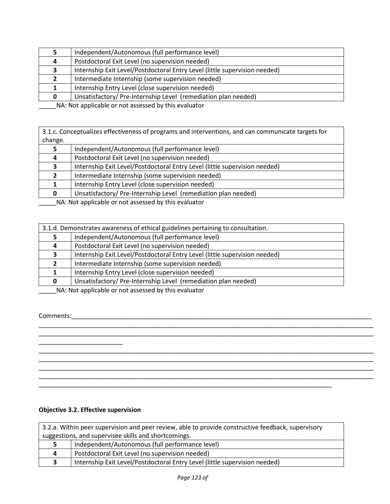|                                                                                                                                                                                                                                      | Independent/Autonomous (full performance level)                            |
|--------------------------------------------------------------------------------------------------------------------------------------------------------------------------------------------------------------------------------------|----------------------------------------------------------------------------|
| 4                                                                                                                                                                                                                                    | Postdoctoral Exit Level (no supervision needed)                            |
|                                                                                                                                                                                                                                      | Internship Exit Level/Postdoctoral Entry Level (little supervision needed) |
|                                                                                                                                                                                                                                      | Intermediate Internship (some supervision needed)                          |
|                                                                                                                                                                                                                                      | Internship Entry Level (close supervision needed)                          |
|                                                                                                                                                                                                                                      | Unsatisfactory/Pre-Internship Level (remediation plan needed)              |
| $\mathbf{A}$ and $\mathbf{A}$ are the set of the set of the set of the set of the set of the set of the set of the set of the set of the set of the set of the set of the set of the set of the set of the set of the set of the set |                                                                            |

3.1.c. Conceptualizes effectiveness of programs and interventions, and can communicate targets for change.

|                                                      | Independent/Autonomous (full performance level)                            |
|------------------------------------------------------|----------------------------------------------------------------------------|
| 4                                                    | Postdoctoral Exit Level (no supervision needed)                            |
|                                                      | Internship Exit Level/Postdoctoral Entry Level (little supervision needed) |
|                                                      | Intermediate Internship (some supervision needed)                          |
|                                                      | Internship Entry Level (close supervision needed)                          |
|                                                      | Unsatisfactory/Pre-Internship Level (remediation plan needed)              |
| NA: Not applicable or not assessed by this ovaluator |                                                                            |

\_\_\_\_\_NA: Not applicable or not assessed by this evaluator

| 3.1.d. Demonstrates awareness of ethical guidelines pertaining to consultation. |                                                                            |  |
|---------------------------------------------------------------------------------|----------------------------------------------------------------------------|--|
|                                                                                 | Independent/Autonomous (full performance level)                            |  |
| 4                                                                               | Postdoctoral Exit Level (no supervision needed)                            |  |
|                                                                                 | Internship Exit Level/Postdoctoral Entry Level (little supervision needed) |  |
|                                                                                 | Intermediate Internship (some supervision needed)                          |  |
|                                                                                 | Internship Entry Level (close supervision needed)                          |  |
|                                                                                 | Unsatisfactory/Pre-Internship Level (remediation plan needed)              |  |

\_\_\_\_\_\_\_\_\_\_\_\_\_\_\_\_\_\_\_\_\_\_\_\_\_\_\_\_\_\_\_\_\_\_\_\_\_\_\_\_\_\_\_\_\_\_\_\_\_\_\_\_\_\_\_\_\_\_\_\_\_\_\_\_\_\_\_\_\_\_\_\_\_\_\_\_\_\_\_\_\_\_\_\_\_\_\_\_\_\_\_\_\_\_\_\_ \_\_\_\_\_\_\_\_\_\_\_\_\_\_\_\_\_\_\_\_\_\_\_\_\_\_\_\_\_\_\_\_\_\_\_\_\_\_\_\_\_\_\_\_\_\_\_\_\_\_\_\_\_\_\_\_\_\_\_\_\_\_\_\_\_\_\_\_\_\_\_\_\_\_\_\_\_\_\_\_\_\_\_\_\_\_\_\_\_\_\_\_\_\_\_\_

\_\_\_\_\_\_\_\_\_\_\_\_\_\_\_\_\_\_\_\_\_\_\_\_\_\_\_\_\_\_\_\_\_\_\_\_\_\_\_\_\_\_\_\_\_\_\_\_\_\_\_\_\_\_\_\_\_\_\_\_\_\_\_\_\_\_\_\_\_\_\_\_\_\_\_\_\_\_\_\_\_\_\_\_\_\_\_\_\_\_\_\_\_\_\_\_ \_\_\_\_\_\_\_\_\_\_\_\_\_\_\_\_\_\_\_\_\_\_\_\_\_\_\_\_\_\_\_\_\_\_\_\_\_\_\_\_\_\_\_\_\_\_\_\_\_\_\_\_\_\_\_\_\_\_\_\_\_\_\_\_\_\_\_\_\_\_\_\_\_\_\_\_\_\_\_\_\_\_\_\_\_\_\_\_\_\_\_\_\_\_\_\_ \_\_\_\_\_\_\_\_\_\_\_\_\_\_\_\_\_\_\_\_\_\_\_\_\_\_\_\_\_\_\_\_\_\_\_\_\_\_\_\_\_\_\_\_\_\_\_\_\_\_\_\_\_\_\_\_\_\_\_\_\_\_\_\_\_\_\_\_\_\_\_\_\_\_\_\_\_\_\_\_\_\_\_\_\_\_\_\_\_\_\_\_\_\_\_\_ \_\_\_\_\_\_\_\_\_\_\_\_\_\_\_\_\_\_\_\_\_\_\_\_\_\_\_\_\_\_\_\_\_\_\_\_\_\_\_\_\_\_\_\_\_\_\_\_\_\_\_\_\_\_\_\_\_\_\_\_\_\_\_\_\_\_\_\_\_\_\_\_\_\_\_\_\_\_\_\_\_\_\_\_\_\_\_\_\_\_\_\_\_\_\_\_

\_\_\_\_NA: Not applicable or not assessed by this evaluator

## Comments:\_\_\_\_\_\_\_\_\_\_\_\_\_\_\_\_\_\_\_\_\_\_\_\_\_\_\_\_\_\_\_\_\_\_\_\_\_\_\_\_\_\_\_\_\_\_\_\_\_\_\_\_\_\_\_\_\_\_\_\_\_\_\_\_\_\_\_\_\_\_\_\_\_\_\_\_\_\_\_\_\_\_\_\_\_\_

## **Objective 3.2. Effective supervision**

\_\_\_\_\_\_\_\_\_\_\_\_\_\_\_\_\_\_\_\_\_\_\_\_

| 3.2.a. Within peer supervision and peer review, able to provide constructive feedback, supervisory |                                                                            |  |
|----------------------------------------------------------------------------------------------------|----------------------------------------------------------------------------|--|
| suggestions, and supervisee skills and shortcomings.                                               |                                                                            |  |
|                                                                                                    | Independent/Autonomous (full performance level)                            |  |
| $\mathbf{A}$                                                                                       | Postdoctoral Exit Level (no supervision needed)                            |  |
|                                                                                                    | Internship Exit Level/Postdoctoral Entry Level (little supervision needed) |  |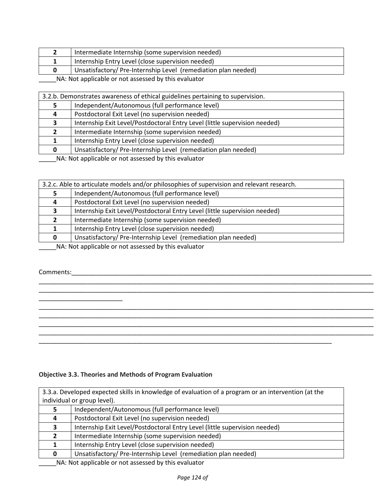| Intermediate Internship (some supervision needed)             |
|---------------------------------------------------------------|
| Internship Entry Level (close supervision needed)             |
| Unsatisfactory/Pre-Internship Level (remediation plan needed) |

| 3.2.b. Demonstrates awareness of ethical guidelines pertaining to supervision. |                                                                            |  |
|--------------------------------------------------------------------------------|----------------------------------------------------------------------------|--|
|                                                                                | Independent/Autonomous (full performance level)                            |  |
| 4                                                                              | Postdoctoral Exit Level (no supervision needed)                            |  |
|                                                                                | Internship Exit Level/Postdoctoral Entry Level (little supervision needed) |  |
|                                                                                | Intermediate Internship (some supervision needed)                          |  |
|                                                                                | Internship Entry Level (close supervision needed)                          |  |
|                                                                                | Unsatisfactory/Pre-Internship Level (remediation plan needed)              |  |
|                                                                                |                                                                            |  |

\_\_\_\_\_NA: Not applicable or not assessed by this evaluator

|                                                                                                                                                                                                                                                                                          | 3.2.c. Able to articulate models and/or philosophies of supervision and relevant research. |  |  |
|------------------------------------------------------------------------------------------------------------------------------------------------------------------------------------------------------------------------------------------------------------------------------------------|--------------------------------------------------------------------------------------------|--|--|
|                                                                                                                                                                                                                                                                                          | Independent/Autonomous (full performance level)                                            |  |  |
| 4                                                                                                                                                                                                                                                                                        | Postdoctoral Exit Level (no supervision needed)                                            |  |  |
|                                                                                                                                                                                                                                                                                          | Internship Exit Level/Postdoctoral Entry Level (little supervision needed)                 |  |  |
|                                                                                                                                                                                                                                                                                          | Intermediate Internship (some supervision needed)                                          |  |  |
|                                                                                                                                                                                                                                                                                          | Internship Entry Level (close supervision needed)                                          |  |  |
| 0                                                                                                                                                                                                                                                                                        | Unsatisfactory/Pre-Internship Level (remediation plan needed)                              |  |  |
| $\mathbf{r}$ , and $\mathbf{r}$ , and $\mathbf{r}$ , and $\mathbf{r}$ , and $\mathbf{r}$ , and $\mathbf{r}$ , and $\mathbf{r}$ , and $\mathbf{r}$ , and $\mathbf{r}$ , and $\mathbf{r}$ , and $\mathbf{r}$ , and $\mathbf{r}$ , and $\mathbf{r}$ , and $\mathbf{r}$ , and $\mathbf{r}$ , |                                                                                            |  |  |

\_\_\_\_\_\_\_\_\_\_\_\_\_\_\_\_\_\_\_\_\_\_\_\_\_\_\_\_\_\_\_\_\_\_\_\_\_\_\_\_\_\_\_\_\_\_\_\_\_\_\_\_\_\_\_\_\_\_\_\_\_\_\_\_\_\_\_\_\_\_\_\_\_\_\_\_\_\_\_\_\_\_\_\_\_\_\_\_\_\_\_\_\_\_\_\_ \_\_\_\_\_\_\_\_\_\_\_\_\_\_\_\_\_\_\_\_\_\_\_\_\_\_\_\_\_\_\_\_\_\_\_\_\_\_\_\_\_\_\_\_\_\_\_\_\_\_\_\_\_\_\_\_\_\_\_\_\_\_\_\_\_\_\_\_\_\_\_\_\_\_\_\_\_\_\_\_\_\_\_\_\_\_\_\_\_\_\_\_\_\_\_\_

\_\_\_\_\_\_\_\_\_\_\_\_\_\_\_\_\_\_\_\_\_\_\_\_\_\_\_\_\_\_\_\_\_\_\_\_\_\_\_\_\_\_\_\_\_\_\_\_\_\_\_\_\_\_\_\_\_\_\_\_\_\_\_\_\_\_\_\_\_\_\_\_\_\_\_\_\_\_\_\_\_\_\_\_\_\_\_\_\_\_\_\_\_\_\_\_ \_\_\_\_\_\_\_\_\_\_\_\_\_\_\_\_\_\_\_\_\_\_\_\_\_\_\_\_\_\_\_\_\_\_\_\_\_\_\_\_\_\_\_\_\_\_\_\_\_\_\_\_\_\_\_\_\_\_\_\_\_\_\_\_\_\_\_\_\_\_\_\_\_\_\_\_\_\_\_\_\_\_\_\_\_\_\_\_\_\_\_\_\_\_\_\_ \_\_\_\_\_\_\_\_\_\_\_\_\_\_\_\_\_\_\_\_\_\_\_\_\_\_\_\_\_\_\_\_\_\_\_\_\_\_\_\_\_\_\_\_\_\_\_\_\_\_\_\_\_\_\_\_\_\_\_\_\_\_\_\_\_\_\_\_\_\_\_\_\_\_\_\_\_\_\_\_\_\_\_\_\_\_\_\_\_\_\_\_\_\_\_\_ \_\_\_\_\_\_\_\_\_\_\_\_\_\_\_\_\_\_\_\_\_\_\_\_\_\_\_\_\_\_\_\_\_\_\_\_\_\_\_\_\_\_\_\_\_\_\_\_\_\_\_\_\_\_\_\_\_\_\_\_\_\_\_\_\_\_\_\_\_\_\_\_\_\_\_\_\_\_\_\_\_\_\_\_\_\_\_\_\_\_\_\_\_\_\_\_

\_\_\_\_\_NA: Not applicable or not assessed by this evaluator

Comments:

\_\_\_\_\_\_\_\_\_\_\_\_\_\_\_\_\_\_\_\_\_\_\_\_

#### **Objective 3.3. Theories and Methods of Program Evaluation**

3.3.a. Developed expected skills in knowledge of evaluation of a program or an intervention (at the individual or group level). | Independent/Autonomous (full performance level) Postdoctoral Exit Level (no supervision needed) Internship Exit Level/Postdoctoral Entry Level (little supervision needed) Intermediate Internship (some supervision needed) 1 | Internship Entry Level (close supervision needed) Unsatisfactory/ Pre-Internship Level (remediation plan needed)

\_\_\_\_\_\_\_\_\_\_\_\_\_\_\_\_\_\_\_\_\_\_\_\_\_\_\_\_\_\_\_\_\_\_\_\_\_\_\_\_\_\_\_\_\_\_\_\_\_\_\_\_\_\_\_\_\_\_\_\_\_\_\_\_\_\_\_\_\_\_\_\_\_\_\_\_\_\_\_\_\_\_\_\_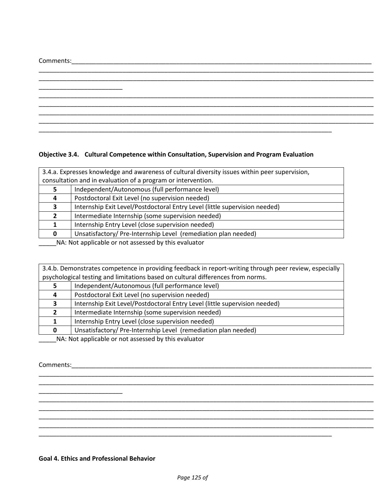Comments:\_\_\_\_\_\_\_\_\_\_\_\_\_\_\_\_\_\_\_\_\_\_\_\_\_\_\_\_\_\_\_\_\_\_\_\_\_\_\_\_\_\_\_\_\_\_\_\_\_\_\_\_\_\_\_\_\_\_\_\_\_\_\_\_\_\_\_\_\_\_\_\_\_\_\_\_\_\_\_\_\_\_\_\_\_\_

|  |  | ______________________ |  |
|--|--|------------------------|--|

## **Objective 3.4. Cultural Competence within Consultation, Supervision and Program Evaluation**

| 3.4.a. Expresses knowledge and awareness of cultural diversity issues within peer supervision,                 |                                                                            |  |
|----------------------------------------------------------------------------------------------------------------|----------------------------------------------------------------------------|--|
| consultation and in evaluation of a program or intervention.                                                   |                                                                            |  |
|                                                                                                                | Independent/Autonomous (full performance level)                            |  |
| 4                                                                                                              | Postdoctoral Exit Level (no supervision needed)                            |  |
| э.                                                                                                             | Internship Exit Level/Postdoctoral Entry Level (little supervision needed) |  |
| 2                                                                                                              | Intermediate Internship (some supervision needed)                          |  |
|                                                                                                                | Internship Entry Level (close supervision needed)                          |  |
| 0                                                                                                              | Unsatisfactory/Pre-Internship Level (remediation plan needed)              |  |
| are are the first that the state of the state of the state of the state of the state of the state of the state |                                                                            |  |

\_\_\_\_\_NA: Not applicable or not assessed by this evaluator

|  | 3.4.b. Demonstrates competence in providing feedback in report-writing through peer review, especially |
|--|--------------------------------------------------------------------------------------------------------|
|  | psychological testing and limitations based on cultural differences from norms.                        |

|                                                      | Independent/Autonomous (full performance level)                            |
|------------------------------------------------------|----------------------------------------------------------------------------|
| 4                                                    | Postdoctoral Exit Level (no supervision needed)                            |
|                                                      | Internship Exit Level/Postdoctoral Entry Level (little supervision needed) |
|                                                      | Intermediate Internship (some supervision needed)                          |
|                                                      | Internship Entry Level (close supervision needed)                          |
| 0                                                    | Unsatisfactory/Pre-Internship Level (remediation plan needed)              |
| NA: Not applicable or not assessed by this ovaluator |                                                                            |

\_\_\_\_\_\_\_\_\_\_\_\_\_\_\_\_\_\_\_\_\_\_\_\_\_\_\_\_\_\_\_\_\_\_\_\_\_\_\_\_\_\_\_\_\_\_\_\_\_\_\_\_\_\_\_\_\_\_\_\_\_\_\_\_\_\_\_\_\_\_\_\_\_\_\_\_\_\_\_\_\_\_\_\_\_\_\_\_\_\_\_\_\_\_\_\_ \_\_\_\_\_\_\_\_\_\_\_\_\_\_\_\_\_\_\_\_\_\_\_\_\_\_\_\_\_\_\_\_\_\_\_\_\_\_\_\_\_\_\_\_\_\_\_\_\_\_\_\_\_\_\_\_\_\_\_\_\_\_\_\_\_\_\_\_\_\_\_\_\_\_\_\_\_\_\_\_\_\_\_\_\_\_\_\_\_\_\_\_\_\_\_\_

\_\_\_\_\_\_\_\_\_\_\_\_\_\_\_\_\_\_\_\_\_\_\_\_\_\_\_\_\_\_\_\_\_\_\_\_\_\_\_\_\_\_\_\_\_\_\_\_\_\_\_\_\_\_\_\_\_\_\_\_\_\_\_\_\_\_\_\_\_\_\_\_\_\_\_\_\_\_\_\_\_\_\_\_\_\_\_\_\_\_\_\_\_\_\_\_ \_\_\_\_\_\_\_\_\_\_\_\_\_\_\_\_\_\_\_\_\_\_\_\_\_\_\_\_\_\_\_\_\_\_\_\_\_\_\_\_\_\_\_\_\_\_\_\_\_\_\_\_\_\_\_\_\_\_\_\_\_\_\_\_\_\_\_\_\_\_\_\_\_\_\_\_\_\_\_\_\_\_\_\_\_\_\_\_\_\_\_\_\_\_\_\_

\_\_\_\_\_\_\_\_\_\_\_\_\_\_\_\_\_\_\_\_\_\_\_\_\_\_\_\_\_\_\_\_\_\_\_\_\_\_\_\_\_\_\_\_\_\_\_\_\_\_\_\_\_\_\_\_\_\_\_\_\_\_\_\_\_\_\_\_\_\_\_\_\_\_\_\_\_\_\_\_\_\_\_\_\_\_\_\_\_\_\_\_\_\_\_\_

\_\_\_\_\_NA: Not applicable or not assessed by this evaluator

Comments:\_\_\_\_\_\_\_\_\_\_\_\_\_\_\_\_\_\_\_\_\_\_\_\_\_\_\_\_\_\_\_\_\_\_\_\_\_\_\_\_\_\_\_\_\_\_\_\_\_\_\_\_\_\_\_\_\_\_\_\_\_\_\_\_\_\_\_\_\_\_\_\_\_\_\_\_\_\_\_\_\_\_\_\_\_\_

## **Goal 4. Ethics and Professional Behavior**

\_\_\_\_\_\_\_\_\_\_\_\_\_\_\_\_\_\_\_\_\_\_\_\_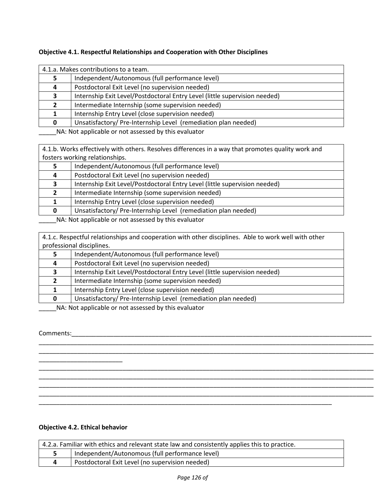| 4.1.a. Makes contributions to a team. |                                                                            |  |
|---------------------------------------|----------------------------------------------------------------------------|--|
|                                       | Independent/Autonomous (full performance level)                            |  |
|                                       | Postdoctoral Exit Level (no supervision needed)                            |  |
|                                       | Internship Exit Level/Postdoctoral Entry Level (little supervision needed) |  |
|                                       | Intermediate Internship (some supervision needed)                          |  |
|                                       | Internship Entry Level (close supervision needed)                          |  |
|                                       | Unsatisfactory/Pre-Internship Level (remediation plan needed)              |  |

4.1.b. Works effectively with others. Resolves differences in a way that promotes quality work and fosters working relationships.

| Independent/Autonomous (full performance level)                            |
|----------------------------------------------------------------------------|
| Postdoctoral Exit Level (no supervision needed)                            |
| Internship Exit Level/Postdoctoral Entry Level (little supervision needed) |
| Intermediate Internship (some supervision needed)                          |
| Internship Entry Level (close supervision needed)                          |
| Unsatisfactory/Pre-Internship Level (remediation plan needed)              |
|                                                                            |

\_\_\_\_\_NA: Not applicable or not assessed by this evaluator

4.1.c. Respectful relationships and cooperation with other disciplines. Able to work well with other professional disciplines.

|                                                                                                                                                                                                                                      | Independent/Autonomous (full performance level)                            |
|--------------------------------------------------------------------------------------------------------------------------------------------------------------------------------------------------------------------------------------|----------------------------------------------------------------------------|
|                                                                                                                                                                                                                                      | Postdoctoral Exit Level (no supervision needed)                            |
|                                                                                                                                                                                                                                      | Internship Exit Level/Postdoctoral Entry Level (little supervision needed) |
|                                                                                                                                                                                                                                      | Intermediate Internship (some supervision needed)                          |
|                                                                                                                                                                                                                                      | Internship Entry Level (close supervision needed)                          |
|                                                                                                                                                                                                                                      | Unsatisfactory/Pre-Internship Level (remediation plan needed)              |
| $\mathbf{A}$ and $\mathbf{A}$ are the set of the set of the set of the set of the set of the set of the set of the set of the set of the set of the set of the set of the set of the set of the set of the set of the set of the set |                                                                            |

\_\_\_\_\_\_\_\_\_\_\_\_\_\_\_\_\_\_\_\_\_\_\_\_\_\_\_\_\_\_\_\_\_\_\_\_\_\_\_\_\_\_\_\_\_\_\_\_\_\_\_\_\_\_\_\_\_\_\_\_\_\_\_\_\_\_\_\_\_\_\_\_\_\_\_\_\_\_\_\_\_\_\_\_\_\_\_\_\_\_\_\_\_\_\_\_

\_\_\_\_\_\_\_\_\_\_\_\_\_\_\_\_\_\_\_\_\_\_\_\_\_\_\_\_\_\_\_\_\_\_\_\_\_\_\_\_\_\_\_\_\_\_\_\_\_\_\_\_\_\_\_\_\_\_\_\_\_\_\_\_\_\_\_\_\_\_\_\_\_\_\_\_\_\_\_\_\_\_\_\_\_\_\_\_\_\_\_\_\_\_\_\_ \_\_\_\_\_\_\_\_\_\_\_\_\_\_\_\_\_\_\_\_\_\_\_\_\_\_\_\_\_\_\_\_\_\_\_\_\_\_\_\_\_\_\_\_\_\_\_\_\_\_\_\_\_\_\_\_\_\_\_\_\_\_\_\_\_\_\_\_\_\_\_\_\_\_\_\_\_\_\_\_\_\_\_\_\_\_\_\_\_\_\_\_\_\_\_\_ \_\_\_\_\_\_\_\_\_\_\_\_\_\_\_\_\_\_\_\_\_\_\_\_\_\_\_\_\_\_\_\_\_\_\_\_\_\_\_\_\_\_\_\_\_\_\_\_\_\_\_\_\_\_\_\_\_\_\_\_\_\_\_\_\_\_\_\_\_\_\_\_\_\_\_\_\_\_\_\_\_\_\_\_\_\_\_\_\_\_\_\_\_\_\_\_ \_\_\_\_\_\_\_\_\_\_\_\_\_\_\_\_\_\_\_\_\_\_\_\_\_\_\_\_\_\_\_\_\_\_\_\_\_\_\_\_\_\_\_\_\_\_\_\_\_\_\_\_\_\_\_\_\_\_\_\_\_\_\_\_\_\_\_\_\_\_\_\_\_\_\_\_\_\_\_\_\_\_\_\_\_\_\_\_\_\_\_\_\_\_\_\_

\_\_\_\_NA: Not applicable or not assessed by this evaluator

## Comments:\_\_\_\_\_\_\_\_\_\_\_\_\_\_\_\_\_\_\_\_\_\_\_\_\_\_\_\_\_\_\_\_\_\_\_\_\_\_\_\_\_\_\_\_\_\_\_\_\_\_\_\_\_\_\_\_\_\_\_\_\_\_\_\_\_\_\_\_\_\_\_\_\_\_\_\_\_\_\_\_\_\_\_\_\_\_

## **Objective 4.2. Ethical behavior**

\_\_\_\_\_\_\_\_\_\_\_\_\_\_\_\_\_\_\_\_\_\_\_\_

| 4.2.a. Familiar with ethics and relevant state law and consistently applies this to practice. |                                                 |  |
|-----------------------------------------------------------------------------------------------|-------------------------------------------------|--|
|                                                                                               | Independent/Autonomous (full performance level) |  |
|                                                                                               | Postdoctoral Exit Level (no supervision needed) |  |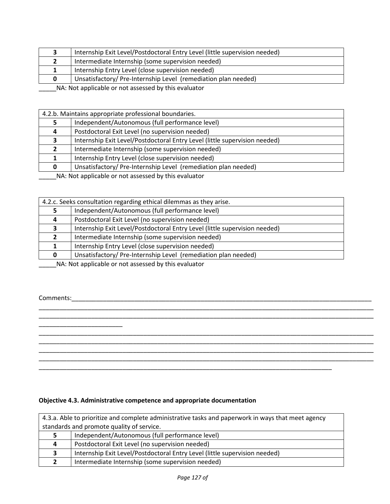|                                                      | Internship Exit Level/Postdoctoral Entry Level (little supervision needed) |
|------------------------------------------------------|----------------------------------------------------------------------------|
|                                                      | Intermediate Internship (some supervision needed)                          |
|                                                      | Internship Entry Level (close supervision needed)                          |
|                                                      | Unsatisfactory/ Pre-Internship Level (remediation plan needed)             |
| NA: Not applicable or not assessed by this evaluator |                                                                            |

| 4.2.b. Maintains appropriate professional boundaries. |                                                                            |  |
|-------------------------------------------------------|----------------------------------------------------------------------------|--|
|                                                       | Independent/Autonomous (full performance level)                            |  |
| 4                                                     | Postdoctoral Exit Level (no supervision needed)                            |  |
| З.                                                    | Internship Exit Level/Postdoctoral Entry Level (little supervision needed) |  |
|                                                       | Intermediate Internship (some supervision needed)                          |  |
|                                                       | Internship Entry Level (close supervision needed)                          |  |
| 0                                                     | Unsatisfactory/ Pre-Internship Level (remediation plan needed)             |  |

|    | 4.2.c. Seeks consultation regarding ethical dilemmas as they arise.        |  |  |
|----|----------------------------------------------------------------------------|--|--|
|    | Independent/Autonomous (full performance level)                            |  |  |
| 4  | Postdoctoral Exit Level (no supervision needed)                            |  |  |
| 3. | Internship Exit Level/Postdoctoral Entry Level (little supervision needed) |  |  |
|    | Intermediate Internship (some supervision needed)                          |  |  |
|    | Internship Entry Level (close supervision needed)                          |  |  |
|    | Unsatisfactory/Pre-Internship Level (remediation plan needed)              |  |  |

\_\_\_\_\_\_\_\_\_\_\_\_\_\_\_\_\_\_\_\_\_\_\_\_\_\_\_\_\_\_\_\_\_\_\_\_\_\_\_\_\_\_\_\_\_\_\_\_\_\_\_\_\_\_\_\_\_\_\_\_\_\_\_\_\_\_\_\_\_\_\_\_\_\_\_\_\_\_\_\_\_\_\_\_\_\_\_\_\_\_\_\_\_\_\_\_ \_\_\_\_\_\_\_\_\_\_\_\_\_\_\_\_\_\_\_\_\_\_\_\_\_\_\_\_\_\_\_\_\_\_\_\_\_\_\_\_\_\_\_\_\_\_\_\_\_\_\_\_\_\_\_\_\_\_\_\_\_\_\_\_\_\_\_\_\_\_\_\_\_\_\_\_\_\_\_\_\_\_\_\_\_\_\_\_\_\_\_\_\_\_\_\_

\_\_\_\_\_\_\_\_\_\_\_\_\_\_\_\_\_\_\_\_\_\_\_\_\_\_\_\_\_\_\_\_\_\_\_\_\_\_\_\_\_\_\_\_\_\_\_\_\_\_\_\_\_\_\_\_\_\_\_\_\_\_\_\_\_\_\_\_\_\_\_\_\_\_\_\_\_\_\_\_\_\_\_\_\_\_\_\_\_\_\_\_\_\_\_\_ \_\_\_\_\_\_\_\_\_\_\_\_\_\_\_\_\_\_\_\_\_\_\_\_\_\_\_\_\_\_\_\_\_\_\_\_\_\_\_\_\_\_\_\_\_\_\_\_\_\_\_\_\_\_\_\_\_\_\_\_\_\_\_\_\_\_\_\_\_\_\_\_\_\_\_\_\_\_\_\_\_\_\_\_\_\_\_\_\_\_\_\_\_\_\_\_ \_\_\_\_\_\_\_\_\_\_\_\_\_\_\_\_\_\_\_\_\_\_\_\_\_\_\_\_\_\_\_\_\_\_\_\_\_\_\_\_\_\_\_\_\_\_\_\_\_\_\_\_\_\_\_\_\_\_\_\_\_\_\_\_\_\_\_\_\_\_\_\_\_\_\_\_\_\_\_\_\_\_\_\_\_\_\_\_\_\_\_\_\_\_\_\_ \_\_\_\_\_\_\_\_\_\_\_\_\_\_\_\_\_\_\_\_\_\_\_\_\_\_\_\_\_\_\_\_\_\_\_\_\_\_\_\_\_\_\_\_\_\_\_\_\_\_\_\_\_\_\_\_\_\_\_\_\_\_\_\_\_\_\_\_\_\_\_\_\_\_\_\_\_\_\_\_\_\_\_\_\_\_\_\_\_\_\_\_\_\_\_\_

\_\_\_\_\_NA: Not applicable or not assessed by this evaluator

Comments:

Ē

\_\_\_\_\_\_\_\_\_\_\_\_\_\_\_\_\_\_\_\_\_\_\_\_

#### **Objective 4.3. Administrative competence and appropriate documentation**

| 4.3.a. Able to prioritize and complete administrative tasks and paperwork in ways that meet agency |                                                                            |  |
|----------------------------------------------------------------------------------------------------|----------------------------------------------------------------------------|--|
| standards and promote quality of service.                                                          |                                                                            |  |
| 5.                                                                                                 | Independent/Autonomous (full performance level)                            |  |
| 4                                                                                                  | Postdoctoral Exit Level (no supervision needed)                            |  |
| 3                                                                                                  | Internship Exit Level/Postdoctoral Entry Level (little supervision needed) |  |
|                                                                                                    | Intermediate Internship (some supervision needed)                          |  |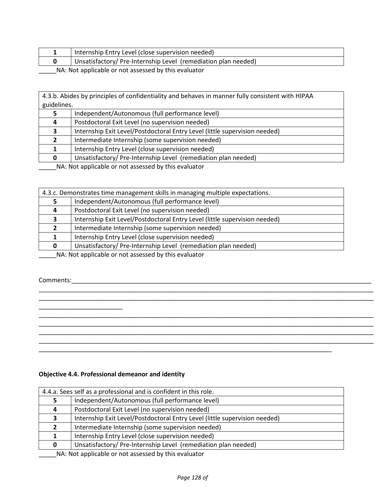|  | Internship Entry Level (close supervision needed)              |  |  |
|--|----------------------------------------------------------------|--|--|
|  | Unsatisfactory/ Pre-Internship Level (remediation plan needed) |  |  |
|  |                                                                |  |  |

4.3.b. Abides by principles of confidentiality and behaves in manner fully consistent with HIPAA guidelines.

|                                                                                                                | Independent/Autonomous (full performance level)                            |
|----------------------------------------------------------------------------------------------------------------|----------------------------------------------------------------------------|
|                                                                                                                | Postdoctoral Exit Level (no supervision needed)                            |
|                                                                                                                | Internship Exit Level/Postdoctoral Entry Level (little supervision needed) |
|                                                                                                                | Intermediate Internship (some supervision needed)                          |
|                                                                                                                | Internship Entry Level (close supervision needed)                          |
|                                                                                                                | Unsatisfactory/Pre-Internship Level (remediation plan needed)              |
| 그 아이들은 그 사람들은 그 사람들은 그 사람들을 지르며 그 사람들을 지르며 그 사람들을 지르며 그 사람들을 지르며 그 사람들을 지르며 그 사람들을 지르며 그 사람들을 지르며 그 사람들을 지르며 그 |                                                                            |

\_\_\_\_\_NA: Not applicable or not assessed by this evaluator

| 4.3.c. Demonstrates time management skills in managing multiple expectations. |                                                                            |  |
|-------------------------------------------------------------------------------|----------------------------------------------------------------------------|--|
|                                                                               |                                                                            |  |
|                                                                               | Independent/Autonomous (full performance level)                            |  |
| 4                                                                             | Postdoctoral Exit Level (no supervision needed)                            |  |
|                                                                               | Internship Exit Level/Postdoctoral Entry Level (little supervision needed) |  |
|                                                                               | Intermediate Internship (some supervision needed)                          |  |
|                                                                               | Internship Entry Level (close supervision needed)                          |  |
| 0                                                                             | Unsatisfactory/Pre-Internship Level (remediation plan needed)              |  |
| NA blot applicable or not accorded by this ovaluator                          |                                                                            |  |

\_\_\_\_\_\_\_\_\_\_\_\_\_\_\_\_\_\_\_\_\_\_\_\_\_\_\_\_\_\_\_\_\_\_\_\_\_\_\_\_\_\_\_\_\_\_\_\_\_\_\_\_\_\_\_\_\_\_\_\_\_\_\_\_\_\_\_\_\_\_\_\_\_\_\_\_\_\_\_\_\_\_\_\_\_\_\_\_\_\_\_\_\_\_\_\_ \_\_\_\_\_\_\_\_\_\_\_\_\_\_\_\_\_\_\_\_\_\_\_\_\_\_\_\_\_\_\_\_\_\_\_\_\_\_\_\_\_\_\_\_\_\_\_\_\_\_\_\_\_\_\_\_\_\_\_\_\_\_\_\_\_\_\_\_\_\_\_\_\_\_\_\_\_\_\_\_\_\_\_\_\_\_\_\_\_\_\_\_\_\_\_\_

\_\_\_\_\_\_\_\_\_\_\_\_\_\_\_\_\_\_\_\_\_\_\_\_\_\_\_\_\_\_\_\_\_\_\_\_\_\_\_\_\_\_\_\_\_\_\_\_\_\_\_\_\_\_\_\_\_\_\_\_\_\_\_\_\_\_\_\_\_\_\_\_\_\_\_\_\_\_\_\_\_\_\_\_\_\_\_\_\_\_\_\_\_\_\_\_ \_\_\_\_\_\_\_\_\_\_\_\_\_\_\_\_\_\_\_\_\_\_\_\_\_\_\_\_\_\_\_\_\_\_\_\_\_\_\_\_\_\_\_\_\_\_\_\_\_\_\_\_\_\_\_\_\_\_\_\_\_\_\_\_\_\_\_\_\_\_\_\_\_\_\_\_\_\_\_\_\_\_\_\_\_\_\_\_\_\_\_\_\_\_\_\_ \_\_\_\_\_\_\_\_\_\_\_\_\_\_\_\_\_\_\_\_\_\_\_\_\_\_\_\_\_\_\_\_\_\_\_\_\_\_\_\_\_\_\_\_\_\_\_\_\_\_\_\_\_\_\_\_\_\_\_\_\_\_\_\_\_\_\_\_\_\_\_\_\_\_\_\_\_\_\_\_\_\_\_\_\_\_\_\_\_\_\_\_\_\_\_\_ \_\_\_\_\_\_\_\_\_\_\_\_\_\_\_\_\_\_\_\_\_\_\_\_\_\_\_\_\_\_\_\_\_\_\_\_\_\_\_\_\_\_\_\_\_\_\_\_\_\_\_\_\_\_\_\_\_\_\_\_\_\_\_\_\_\_\_\_\_\_\_\_\_\_\_\_\_\_\_\_\_\_\_\_\_\_\_\_\_\_\_\_\_\_\_\_

\_\_\_\_\_NA: Not applicable or not assessed by this evaluator

Comments:

\_\_\_\_\_\_\_\_\_\_\_\_\_\_\_\_\_\_\_\_\_\_\_\_

#### **Objective 4.4. Professional demeanor and identity**

| 4.4.a. Sees self as a professional and is confident in this role.          |  |  |
|----------------------------------------------------------------------------|--|--|
| Independent/Autonomous (full performance level)                            |  |  |
| Postdoctoral Exit Level (no supervision needed)                            |  |  |
| Internship Exit Level/Postdoctoral Entry Level (little supervision needed) |  |  |
| Intermediate Internship (some supervision needed)                          |  |  |
| Internship Entry Level (close supervision needed)                          |  |  |
| Unsatisfactory/Pre-Internship Level (remediation plan needed)              |  |  |
|                                                                            |  |  |

\_\_\_\_\_\_\_\_\_\_\_\_\_\_\_\_\_\_\_\_\_\_\_\_\_\_\_\_\_\_\_\_\_\_\_\_\_\_\_\_\_\_\_\_\_\_\_\_\_\_\_\_\_\_\_\_\_\_\_\_\_\_\_\_\_\_\_\_\_\_\_\_\_\_\_\_\_\_\_\_\_\_\_\_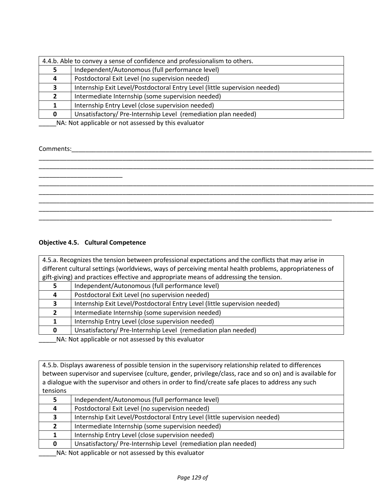| 4.4.b. Able to convey a sense of confidence and professionalism to others. |                                                                            |  |
|----------------------------------------------------------------------------|----------------------------------------------------------------------------|--|
|                                                                            | Independent/Autonomous (full performance level)                            |  |
| 4                                                                          | Postdoctoral Exit Level (no supervision needed)                            |  |
| э.                                                                         | Internship Exit Level/Postdoctoral Entry Level (little supervision needed) |  |
|                                                                            | Intermediate Internship (some supervision needed)                          |  |
|                                                                            | Internship Entry Level (close supervision needed)                          |  |
|                                                                            | Unsatisfactory/Pre-Internship Level (remediation plan needed)              |  |

#### Comments:\_\_\_\_\_\_\_\_\_\_\_\_\_\_\_\_\_\_\_\_\_\_\_\_\_\_\_\_\_\_\_\_\_\_\_\_\_\_\_\_\_\_\_\_\_\_\_\_\_\_\_\_\_\_\_\_\_\_\_\_\_\_\_\_\_\_\_\_\_\_\_\_\_\_\_\_\_\_\_\_\_\_\_\_\_\_

## **Objective 4.5. Cultural Competence**

| 4.5.a. Recognizes the tension between professional expectations and the conflicts that may arise in    |                                                                            |  |
|--------------------------------------------------------------------------------------------------------|----------------------------------------------------------------------------|--|
| different cultural settings (worldviews, ways of perceiving mental health problems, appropriateness of |                                                                            |  |
| gift-giving) and practices effective and appropriate means of addressing the tension.                  |                                                                            |  |
|                                                                                                        | Independent/Autonomous (full performance level)                            |  |
|                                                                                                        | Postdoctoral Exit Level (no supervision needed)                            |  |
|                                                                                                        | Internship Exit Level/Postdoctoral Entry Level (little supervision needed) |  |
|                                                                                                        | Intermediate Internship (some supervision needed)                          |  |
|                                                                                                        | Internship Entry Level (close supervision needed)                          |  |
|                                                                                                        | Unsatisfactory/Pre-Internship Level (remediation plan needed)              |  |
| ALA : Alak a subtradela la superficienza del des klatolas de legales                                   |                                                                            |  |

\_\_\_\_\_NA: Not applicable or not assessed by this evaluator

4.5.b. Displays awareness of possible tension in the supervisory relationship related to differences between supervisor and supervisee (culture, gender, privilege/class, race and so on) and is available for a dialogue with the supervisor and others in order to find/create safe places to address any such tensions

|  | Independent/Autonomous (full performance level)                            |
|--|----------------------------------------------------------------------------|
|  | Postdoctoral Exit Level (no supervision needed)                            |
|  | Internship Exit Level/Postdoctoral Entry Level (little supervision needed) |
|  | Intermediate Internship (some supervision needed)                          |
|  | Internship Entry Level (close supervision needed)                          |
|  | Unsatisfactory/Pre-Internship Level (remediation plan needed)              |
|  |                                                                            |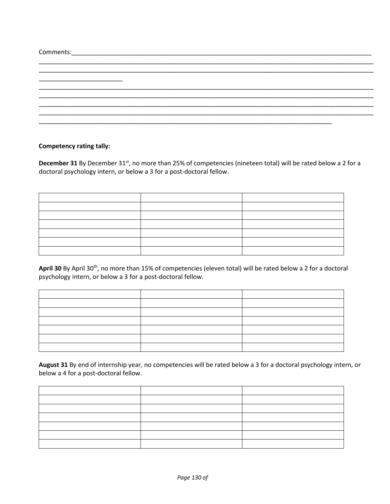| Comments:<br><u> 1989 - Johann John Stone, markin film yn y brening yn y brening yn y brening yn y brening yn y brening yn y b</u> |  |
|------------------------------------------------------------------------------------------------------------------------------------|--|
|                                                                                                                                    |  |
|                                                                                                                                    |  |
|                                                                                                                                    |  |
|                                                                                                                                    |  |
|                                                                                                                                    |  |
|                                                                                                                                    |  |
|                                                                                                                                    |  |

#### **Competency rating tally:**

December 31 By December 31<sup>st</sup>, no more than 25% of competencies (nineteen total) will be rated below a 2 for a doctoral psychology intern, or below a 3 for a post-doctoral fellow.

April 30 By April 30<sup>th</sup>, no more than 15% of competencies (eleven total) will be rated below a 2 for a doctoral psychology intern, or below a 3 for a post-doctoral fellow.

**August 31** By end of internship year, no competencies will be rated below a 3 for a doctoral psychology intern, or below a 4 for a post-doctoral fellow.